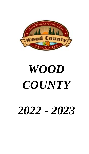

# *WOOD COUNTY*

# *2022 - 2023*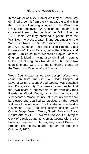# **History of Wood County**

In the winter of 1827, Daniel Whitney of Green Bay obtained a permit from the Winnebago granting him the privilege of making shingles on the Wisconsin River. He employed 22 Stockbridge Indians and conveyed them to the mouth of the Yellow River. In 1831 Daniel Whitney obtained a permit from the War Dept. to erect a sawmill and cut timber on the Wisconsin River. In 1831-2, assisted by his nephew and A.B. Sampson, built the first mill at the place known as Whitney's Rapids, below Point Basse, and about 10 miles south of Wisconsin Rapids. Messrs, Grignon & Merrill, having also obtained a permit, built a mill at Grignon's Rapids in 1836. These two establishments were the first lumbering plants on the Wisconsin River in Wood County.

Wood County was named after Joseph Wood, who came here from Illinois in 1848. Under Chapter 54 Laws of 1856, present Wood County was detached from Portage County. The same chapter directed that the town board of supervisors of the town of Grand Rapids in Wood County, shall be the board of supervisors of Wood County until a county board shall be elected and qualified as provided by the revised statutes of the same act. The first election was held in November 1856. The first county officers were: County Judge Joseph Wood; Sheriff Benjamin Buck; District Attorney L.P. Powers; Surveyor H.A. Temple; Clerk of Circuit Courts L. Kromer; County Clerk L.P. Powers; Treasurer I.L. Moser; Register of Deeds, L. Kromer. The county board met for the first time October 8, 1856.

Continued on back cover….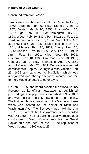# **History of Wood County**

Continued from front cover….

Towns were established as follows: Rudolph- Oct.8, 1856; Saratoga- Jan. 9, 1857; Seneca- June 9, 1857; Dexter- March 10, 1858; Lincoln-Dec. 25, 1861; Sigel- Jan. 10, 1863; Remington- July 15, 1868; Wood- Feb. 10, 1874; Port Edwards- Feb. 10, 1874; Auburndale- Dec. 30, 1874; Marshfield- Dec. 3, 1875; Rock- Jan. 23, 1878; Richfield- Nov. 18, 1881; Milladore- Feb. 15, 1882; Sherry- Nov. 10, 1885; Hansen- Nov. 10 1885; Cary- Feb. 13, 1901; Arpin- Feb. 13, 1901; Hiles- Nov. 15, 1901; Cameron- Nov. 18, 1903; Cranmoor- Nov. 18, 1903; Centralia- Jan 9, 1857; Springfield- Aug. 27, 1861 and McClellan- May 26, 1864. Centralia is now part of Wisconsin Rapids. Springfield was vacated Feb 23, 1865 and attached to McClellan which was reorganized and shortly afterward vacated and the territory was distributed to other towns**.**

On Jan. 5, 1858 the board adopted the Wood County Reporter as its official newspaper to publish all proceedings. This paper was established in Nov. 1857 and was the first and only newspaper in the county. The first courthouse was a hall in the Magnolia House which was located on the corner of Ninth and Washington Ave. The first court was held there in 1857. The date of the first warranty deed recorded was Oct 1856. The first building actually erected as a courthouse in Wood County was built in Grand Rapids on a spot near the river. The population of Wood County in 1860 was 2425.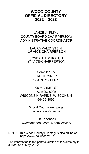# **WOOD COUNTY OFFICIAL DIRECTORY 2022 – 2023**

LANCE A. PLIML COUNTY BOARD CHAIRPERSON/ ADMINISTRATIVE COORDINATOR

> LAURA VALENSTEIN 1 ST VICE-CHAIRPERSON

JOSEPH H. ZURFLUH 2 ND VICE-CHAIRPERSON

> Compiled By TRENT MINER COUNTY CLERK

400 MARKET ST PO BOX 8095 WISCONSIN RAPIDS, WISCONSIN 54495-8095

> Wood County web page www.co.wood.wi.us

On Facebook www.facebook.com/WoodCoWisc/

NOTE: This Wood County Directory is also online at: https://www.co.wood.wi.us

The information in the printed version of this directory is current as of May, 2022.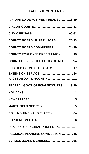# **TABLE OF CONTENTS**

| <b>APPOINTED DEPARTMENT HEADS 18-19</b>  |
|------------------------------------------|
|                                          |
|                                          |
| COUNTY BOARD SUPERVISORS 20-23           |
| COUNTY BOARD COMMITTEES 24-29            |
| <b>COUNTY EMPLOYEE CREDIT UNION 19</b>   |
| <b>COURTHOUSE/OFFICE CONTACT INFO2-4</b> |
| ELECTED COUNTY OFFICIALS 17              |
| FEDERAL GOV'T OFFICIALS/COURTS 8-10      |
|                                          |
|                                          |
|                                          |
| <b>POLLING TIMES AND PLACES  64</b>      |
|                                          |
| REAL AND PERSONAL PROPERTY7              |
| REGIONAL PLANNING COMMISSION  15         |
| SCHOOL BOARD MEMBERS 66                  |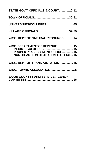| STATE GOV'T OFFICIALS & COURT10-12                                                                                                          |
|---------------------------------------------------------------------------------------------------------------------------------------------|
|                                                                                                                                             |
|                                                                                                                                             |
|                                                                                                                                             |
| WISC. DEPT OF NATURAL RESOURCES14                                                                                                           |
| WISC. DEPARTMENT OF REVENUE 15<br><b>INCOME TAX OFFICES 15</b><br>PROPERTY ASSESSMENT OFFICE15<br><b>NORTHEASTERN DISTRICT MFG OFFICE15</b> |
| WISC. DEPT OF TRANSPORTATION  15                                                                                                            |
|                                                                                                                                             |
| <b>WOOD COUNTY FARM SERVICE AGENCY</b>                                                                                                      |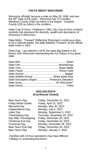### **FACTS ABOUT WISCONSIN**

Wisconsin officially became a state on May 29, 1848, and was the 30<sup>th</sup> state of the union. Wisconsin has 72 counties. Marathon County (1584 sq miles) is the largest. Ozaukee County (235 sq miles) is the smallest.

State Coat of Arms: Finalized in 1881, the Coat of Arms contains symbols that represent the diversity, wealth and abundance of résources in Wisconsin.

State Motto: "Forward" Reflecting Wisconsin's continuous drive to be a national leader, the state adopted "Forward" as the official state motto in 1851.

State Flag: Last altered in 1979, the state flag flutters in the breeze over Wisconsin representing the rich history of our great state.

| State Wildlife Animal White-tailed Deer         |  |
|-------------------------------------------------|--|
| State Descriptive Slogan  'America's Dairyland' |  |
|                                                 |  |
|                                                 |  |

### **2022 HOLIDAYS (Courthouse Closed)**

Friday before Easter Friday, April 15, 2022 Independence Day Monday, July 4, 2022

New Year's Day Friday, December 31, 2021 Memorial Day Monday, May 30, 2022 Labor Day Monday, September 5, 2022 Thanksgiving Day Thursday, November 24, 2022 Day After Thanksgiving Friday, November 25, 2022 Christmas Eve Day Friday, December 23, 2022 Christmas Day Monday, December 26, 2022 New Year's Eve Day Friday, December 30, 2022 New Year's Day Monday, January 2, 2023

Facilities with 24-hour operations may have different holidays or scheduling provisions.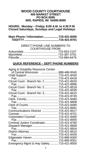### **WOOD COUNTY COURTHOUSE 400 MARKET STREET PO BOX 8095 WIS. RAPIDS, WI 54495-8095**

**HOURS: Monday – Friday; 8:00 A.M. to 4:30 P.M. Closed Saturdays, Sundays and Legal Holidays**

| Main Phone / Information715-421-8400 |  |
|--------------------------------------|--|
|                                      |  |

### DIRECT PHONE LINE NUMBERS TO COURTHOUSE FROM:

### **QUICK REFERENCE – DEPT PHONE NUMBERS**

| Aging & Disability Resource Center       |  |
|------------------------------------------|--|
| of Central Wisconsin 888-486-9545        |  |
|                                          |  |
|                                          |  |
| Circuit Court - Branch No. 1715-421-8520 |  |
|                                          |  |
|                                          |  |
|                                          |  |
|                                          |  |
| Fax.……………………………………… 715-421-8740         |  |
|                                          |  |
|                                          |  |
|                                          |  |
|                                          |  |
| Communications Director 715-421-8417     |  |
|                                          |  |
| Corporation Counsel 715-421-8465         |  |
|                                          |  |
| Criminal Justice Coordinator715-421-8780 |  |
| Dispatch Manager715-421-8668             |  |
|                                          |  |
|                                          |  |
|                                          |  |
| Edgewater Haven715-885-8300              |  |
|                                          |  |
| Emergency Mgmt & Hwy Safety715-421-8500  |  |
|                                          |  |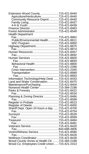| Extension Wood County 715-421-8440              |  |
|-------------------------------------------------|--|
| Agriculture/Horticulture715-421-8440            |  |
| Community Resource Dvpmt715-421-8440            |  |
|                                                 |  |
|                                                 |  |
|                                                 |  |
| Forest Administrator715-421-8549                |  |
| <b>Health Department</b>                        |  |
|                                                 |  |
| Public/Environmental Health715-421-8911         |  |
|                                                 |  |
| Highway Department715-421-8875                  |  |
|                                                 |  |
|                                                 |  |
|                                                 |  |
| Human Services 715-421-8600                     |  |
|                                                 |  |
| Behavioral Health715-421-8800                   |  |
|                                                 |  |
| Crisis Intervention715-421-2345                 |  |
| Transportation 715-421-8989                     |  |
|                                                 |  |
| Information Technology/Help Desk 715-421-8433   |  |
|                                                 |  |
| Land and Water Conservation715-421-8475         |  |
| Maintenance/Purchasing715-421-8404              |  |
| Norwood Health Center 715-384-2188              |  |
|                                                 |  |
|                                                 |  |
|                                                 |  |
|                                                 |  |
| Register in Probate 715-421-8523                |  |
| Register of Deeds 715-421-8450                  |  |
| Sheriff Dept. Open 24 hours a day. 715-421-8700 |  |
|                                                 |  |
|                                                 |  |
|                                                 |  |
|                                                 |  |
|                                                 |  |
|                                                 |  |
|                                                 |  |
|                                                 |  |
|                                                 |  |
| Wellness Coordinator 715-421-8428               |  |
| Wood County Annex & Health Ctr715-384-2188      |  |
| Wood Co. Employees Credit Union715-421-2313     |  |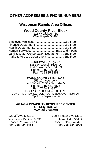# **OTHER ADDRESSES & PHONE NUMBERS**

# **Wisconsin Rapids Area Offices**

# **Wood County River Block**

111 W Jackson St, Wisc Rapids 54495

| Land & Water Conservation Department  2nd Floor |  |
|-------------------------------------------------|--|
| Parks & Forestry Department  2nd Floor          |  |

### **EDGEWATER HAVEN**

1351 Wisconsin River Dr Port Edwards, WI 54469 Phone: 715-885-8300 Fax: 715-885-8351

### **WOOD COUNTY HIGHWAY**

555 17<sup>th</sup> Avenue N Wisconsin Rapids, WI 54495 Phone: 715-421-8875 Fax: 715-421-8874 HOURS: 7:00 A.M. – 3:00 P.M. CONSTRUCTION SEASON HOURS 6:00 A.M. – 4:00 P.M. (April 24 – September 3)

### **AGING & DISABILITY RESOURCE CENTER OF CENTRAL WI www.adrc-cw.org**

220 3<sup>rd</sup> Ave S Ste 1 300 S Peach Ave Ste 1 Wisconsin Rapids, 54495 Marshfield, 54449 Phone: 715-421-0014 Phone: 715-384-8479

Fax: 715-384-1905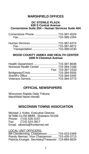# **MARSHFIELD OFFICES**

### **DC STEINLE PLAZA 630 S Central Avenue Cornerstone Suite 204 – Human Services Suite 404**

### **WOOD COUNTY ANNEX AND HEALTH CENTER 1600 N Chestnut Avenue**

| Norwood Health Center  715-384-2188 |                   |
|-------------------------------------|-------------------|
|                                     | Fax: 715-387-1533 |
|                                     |                   |
|                                     |                   |
|                                     |                   |

# **OFFICIAL NEWSPAPERS**

Wisconsin Rapids Daily Tribune Marshfield News-Herald

# **WISCONSIN TOWNS ASSOCIATION**

Michael J. Koles, Executive Director W7686 Co Rd MMM - Shawano 54166 Phone: (715) 526-3157<br>Fax: (715) 524-3917 (715) 524-3917 Email: wtowns@frontiernet.net

LOCAL UNIT OFFICERS: Bill Clendenning, Chairperson ............. 715-423-2469 Randy Nieman, Vice Chairperson ....... 715-435-3713 Patricia Krueger, Secretary/Treasurer. 715-884-6634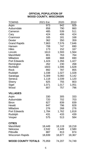### **OFFICIAL POPULATION OF WOOD COUNTY, WISCONSIN**

| TOWNS                     | 2021 Est. | 2020   | 2010   |
|---------------------------|-----------|--------|--------|
| Arpin                     | 973       | 942    | 929    |
| Auburndale                | 858       | 790    | 860    |
| Cameron                   | 485       | 539    | 511    |
| Cary                      | 424       | 406    | 424    |
| Cranmoor                  | 165       | 181    | 168    |
| Dexter                    | 362       | 350    | 359    |
| <b>Grand Rapids</b>       | 7,863     | 7,576  | 7,646  |
| Hansen                    | 708       | 747    | 690    |
| Hiles                     | 173       | 152    | 167    |
| Lincoln                   | 1613      | 1,593  | 1,564  |
| Marshfield                | 801       | 763    | 764    |
| Milladore                 | 688       | 668    | 690    |
| Port Edwards              | 1,424     | 1,356  | 1,427  |
| Remington                 | 262       | 230    | 268    |
| Richfield                 | 1603      | 1,596  | 1,628  |
| Rock                      | 892       | 787    | 855    |
| Rudolph                   | 1,038     | 1,027  | 1,028  |
| Saratoga                  | 5,309     | 5,060  | 5,142  |
| Seneca                    | 1,118     | 1,039  | 1,120  |
| Sherry                    | 825       | 755    | 803    |
| Sigel                     | 1,071     | 1,017  | 1,051  |
| Wood                      | 807       | 757    | 796    |
| <b>VILLAGES</b>           |           |        |        |
| Arpin                     | 330       | 305    | 333    |
| Auburndale                | 720       | 702    | 703    |
| <b>Biron</b>              | 827       | 839    | 839    |
| Hewitt                    | 847       | 796    | 828    |
| Milladore                 | 276       | 268    | 276    |
| Port Edwards              | 1,784     | 1,762  | 1,818  |
| Rudolph                   | 431       | 433    | 439    |
| Vesper                    | 575       | 513    | 584    |
| <b>CITIES</b>             |           |        |        |
| Marshfield                | 18,449    | 18,119 | 18,218 |
| Nekoosa                   | 2,532     | 2,449  | 2,580  |
| Pittsville                | 887       | 813    | 874    |
| <b>Wisconsin Rapids</b>   | 18,839    | 18,877 | 18,367 |
| <b>WOOD COUNTY TOTALS</b> | 75,959    | 74,207 | 74,749 |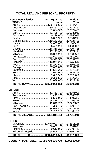# **TOTAL REAL AND PERSONAL PROPERTY**

| <b>Assessment District</b>  | 2021 Equalized | Ratio to                                  |
|-----------------------------|----------------|-------------------------------------------|
| <b>TOWNS</b>                | Value          | <b>Total</b>                              |
|                             |                | .013244281                                |
| Auburndale 80,257,300       |                | .013911760                                |
|                             |                | .010574455                                |
|                             |                | .009087912                                |
|                             |                | .006956045                                |
|                             |                | .006604217                                |
| Grand Rapids 619,163,200    |                | .107325436                                |
|                             |                | .011108462                                |
|                             |                | .004585038                                |
|                             |                | .027104438                                |
|                             |                | .013377111                                |
|                             |                | .008382559                                |
| Port Edwards  101,593,100   |                | .017610097                                |
| Remington  36,920,500       |                | .006399781                                |
|                             |                | .019750510                                |
| Rock.                       |                | .015301128                                |
|                             |                | .015091422                                |
|                             |                | .072378114                                |
|                             |                | .015881365                                |
|                             |                | .010678666                                |
|                             |                | 013927222                                 |
|                             |                | .014229196                                |
| TOTAL TOWNS \$2,500,925,800 |                | .433509215                                |
|                             |                |                                           |
| <b>VILLAGES</b>             |                |                                           |
|                             |                | .002155009                                |
| Auburndale 41,472,200       |                | .007188770                                |
|                             |                | .014997333<br>. <del>. .</del> . <i>.</i> |
|                             |                |                                           |

| <b>TOTAL VILLAGES \$391,814,400</b> | .067916910 |  |
|-------------------------------------|------------|--|
|                                     | .005503720 |  |
|                                     | .006071458 |  |
|                                     | .018609104 |  |
|                                     | .002225800 |  |
|                                     | .011165716 |  |
|                                     |            |  |

# **CITIES**

| <b>TOTAL CITIES  \$2,876,285,500</b> | .498573875 |
|--------------------------------------|------------|
| Wisconsin Rapids 1,168,599,100       | .202564378 |
|                                      | .005306442 |
|                                      | .018387871 |
| Marshfield  \$1,570,993,300          | .272315185 |

**COUNTY TOTALS:………...\$5,769,025,700 1.000000000**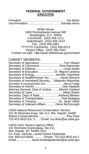# **FEDERAL GOVERNMENT EXECUTIVE**

White House 1600 Pennsylvania Avenue NW Washington, D.C. 20500 Comments: (202) 456-1111 Switchboard: (202) 456-1414 Fax: (202) 456-2461 TTY/TTD Comments: (202) 456-6213 Visitors Office: (202) 456-7041 Contact via web: http://www.whitehouse.gov/contact/

# CABINET MEMBERS**:**

| Secretary of Commerce Gina Raimondo                |
|----------------------------------------------------|
|                                                    |
| Secretary of Education Dr. Miguel Cardona          |
| Secretary of Energy Jennifer Granholm              |
| Secretary of Health/Human Srv Xavier Becerra       |
| Secretary of Homeland Security  Alejandro Mayorkas |
| Secretary of Housing/Urban Dev Marcia Fudge        |
|                                                    |
| Attorney General, Dept of Justice Merrick Garland  |
|                                                    |
| Secretary, Dept of StateAnthony Blinken            |
| Secretary of Transportation  Pete Buttigieg        |
| Secretary of Treasury Dr. Janet Yellen             |
| Secretary of Veterans AffairsDenis McDonough       |
|                                                    |

USDA Natural Resources Conservation Service 101 W Riverview Expy, Ste 111, Wis. Rapids, 54495 District Conservationist ...................................Roy Diver 715-423-3610 Ext. 3........Email: roy.diver@wi.usda.gov

USDA Farm Service Agency Office 101 Riverview Expressway, Ste 111, Wis. Rapids, WI 54495-3311 Co. Exec. Director, Laurie Konkol Glodowski Fax: 855-813-6650..............Phone: 715-423-3610 ext 2 Email:................... laurie.konkolglodowski@wi.usda.gov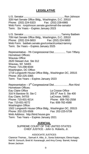# **LEGISLATIVE**

U.S. Senator......................................................... Ron Johnson 328 Hart Senate Office Bldg., Washington, D.C. 20510 Phone: (202) 224-5323 Fax: (202) 228-6965 Web Form: ronjohnson.senate.gov/email-the-senator Term: Six Years – Expires January 2023 U.S. Senator.....................................................Tammy Baldwin 709 Hart Senate Office Bldg., Washington, D.C. 20510 Phone: (202) 224-5653 Fax: (202) 224-5653 Web Form: baldwin.senate.gov/contact/contact-tammy Term: Six Years – Expires January 2025 Representative - 7th Congressional Dist................ Tom Tiffany Hometown Offices: Wausau Office 2620 Stewart Ave Ste 312 Wausau, WI 54401 Phone: 715-298-9344 Washington, DC Office: 1719 Longworth House Office Bldg., Washington DC, 20515 Phone: 202-225-3365 Term: Two Years – Expires January 2023 Representative – 3<sup>rd</sup> Congressional Dist…………….Ron Kind Hometown Offices: Eau Claire Office **La Crosse Office**<br>316 N Barstow St. Ste C 205 5<sup>th</sup> Ave S. Ste 400 316 N Barstow St. Ste C Eau Claire, 54703 LaCrosse, 54601 Phone: 715-831-9214 Phone: 608-782-2558 Fax: 715-831-9272 Fax: 608-782-4588 Washington Office: 1502 Longworth House Office Bldg., Washington DC, 20515 Phone: 202-225-5506 Web Address: http://kind.house.gov Term: Two Years – Expires January 2021

### **JUDICIAL**

SUPREME COURT OF THE UNITED STATES CHIEF JUSTICE - John G. Roberts, Jr.

### ASSOCIATE JUSTICES

Clarence Thomas, , Samuel A. Alito, Jr., Sonia Sotomayor, Elena Kagan, Neil M. Gorsuch, Brett M. Kavanaugh, and Amy Coney Barrett, Ketanji Brown Jackson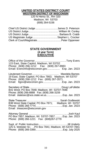### **UNITED STATES DISTRICT COURT WESTERN DISTRICT OF WISCONSIN**

120 N Henry St., Rm 320 Madison, WI 53703 (608) 264-5156

| US Magistrate Judge Stephen L. Crocker |  |
|----------------------------------------|--|
|                                        |  |

### **STATE GOVERNMENT (4 year Term) EXECUTIVE**

| 115 East, State Capitol, Madison, WI 53702<br>Phone: (608) 266-1212    Fax: (608) 267-8983<br>Email: EversInfo@wisconsin.gov Exp. Jan. 2023       |  |
|---------------------------------------------------------------------------------------------------------------------------------------------------|--|
| 19 East, State Capitol; PO Box 7863; Madison, WI 53707<br>Phone: (608) 266-1212  Fax: (608) 267-3571<br>Email: Itgov@wisconsin.gov Exp. Jan. 2023 |  |
| B41 West; PO Box 7848; Madison, WI 53707-7848<br>Phone: (608) 266-8888  Fax: (608) 266-3159<br>Email: statesec@sos.state.wi.usExp. Jan. 2023      |  |
| B38 West State Capital; PO Box 7871; Madison, WI 53707<br>Email: treasurer@wisconsin.gov                                                          |  |
| PO Box 7857; Madison, WI 53707-7857Exp. Jan. 2023<br>Phone: (608) 266-1221  Fax: (608) 267-2779                                                   |  |
| 125 S. Webster St.; PO Box 7841; Madison, WI 53707-7841                                                                                           |  |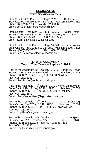### **LEGISLATIVE STATE SENATE (4-Year Term**)

State Senator-23<sup>rd</sup> Dist……......Exp.1/2023…......Kathy Bernier<br>State Capitol, Rm 319 S., PO Box 7882; Madison, 53707-7882 Phone: (608)266-7511 Fax: (608)282-3563 Email: Sen.Bernier@legis.wisconsin.gov

State Senator - 24th Dist……….Exp. 1/2025… Patrick Testin State Capitol, Rm 8 S, PO Box 7882; Madison, 53707-7882 Phone: (608) 266-3123 Fax: (608) 282-3564 Email : Sen.Testin@legis.wisconsin.gov

State Senator - 29th Dist……….Exp. 1/2023… Jerry Petrowski State Capitol, Rm. 123 S, PO Box 7882; Madison, 53707-7882 Phone: (608)266-2502 Fax: (608)282-3569 Email: Sen. Petrowski@legis.wisconsin.gov

### **STATE ASSEMBLY Term: Two Years – Expires 1/2023**

Rep. to the Assembly-69<sup>th</sup> District................ Donna M. Rozar State Capitol, 418 N, PO Box 8953……………Madison, 53708 Phone: (608) 267-0280 or (888) 534-0069 toll free Fax: (608) 282-3669 Email: Rep.Rozar@legis.wisconsin.gov

Rep. to the Assembly - 70<sup>th</sup> District............Nancy VanderMeer State Capitol, Rm. 11 W, PO Box 8953;…… Madison, 53708 Phone: (608) 266-8366 or (888) 534-0070 toll free Fax: (608) 282-3670 Email: Rep.VanderMeer@legis.wisconsin.gov

Rep. to the Assembly - 72<sup>nd</sup> District ..........................Scott Krug State Capitol, Rm 207 N, PO Box 8952…….. Madison, 53708 Phone: (608) 266-0215 or (888) 529-0072 toll free Fax: (608) 282-3672 Email: Rep.Krug@legis.wisconsin.gov

Rep. to the Assembly - 86th District....................... John Spiros State Capitol, 212 N, PO Box 8953;………….. Madison, 53708 Phone: (608) 266-1182 or (888) 534-0086 toll free Fax: (608) 282-3686 Email: Rep.Spiros@legis.wisconsin.gov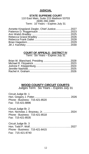### **JUDICIAL**

### **STATE SUPREME COURT**

110 East Main, Suite 215 Madison 53703 (608) 266-1880 Term: 10 Years – Expires July 31

| Annette Kingsland Ziegler, Chief Justice 2027 |  |
|-----------------------------------------------|--|
|                                               |  |
|                                               |  |
|                                               |  |
|                                               |  |
|                                               |  |
|                                               |  |

### **COURT OF APPEALS - DISTRICT IV**:

Term: Six Years – Expires July 31

### **WOOD COUNTY CIRCUIT COURTS**:

Judges Term: Six Years – Expires July 31

| Circuit Judge Br. 1            |  |
|--------------------------------|--|
|                                |  |
| Phone - Business: 715-421-8520 |  |
| Fax: 715-421-8896              |  |

Circuit Judge Br. 2 Hon. Nicholas J. Brazeau, Jr. ...................................... 2024 Phone - Business: 715-421-8518 Fax: 715-421-8535

| Circuit Judge Br. 3            |  |
|--------------------------------|--|
|                                |  |
| Phone - Business: 715-421-8415 |  |
| Fax: 715-421-8740              |  |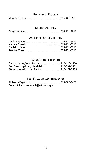### Register in Probate

Mary Anderson………………………………….715-421-8523

### District Attorney

|--|--|

## Assistant District Attorney

# Court Commissioners

| Ann Stevning-Roe, Marshfield715-387-3451   |  |
|--------------------------------------------|--|
| Steve Walczak., Wis. Rapids   715-421-0333 |  |

# Family Court Commissioner

| Email: richard.weymouth@wicourts.gov |  |
|--------------------------------------|--|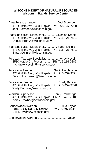### **WISCONSIN DEPT OF NATURAL RESOURCES Wisconsin Rapids Service Center**

Area Forestry Leader.......................... Jodi Stormoen 473 Griffith Ave., Wis. Rapids Ph: 608-547-7228 Jodi.Stormoen@wisconsin.gov

Staff Specialist - Dispatcher................. Denise Krentz 473 Griffith Ave., Wis. Rapids Ph: 715-421-7841 Denise.Krentz@wisconsin.gov

Staff Specialist - Dispatcher................ Sarah Gollnick 473 Griffith Ave., Wis. Rapids Ph: 715-421-7841 Sarah.Gollnick@wisconsin.gov

Forester, Tax Law Specialist.................. Andy Neveln 2510 Maple Dr., Plover ......... Ph: 715-216-0287 Andrew.Neveln@wisconsin.gov

Forester – Ranger...........................Gavin Hutchinson 473 Griffith Ave., Wis. Rapids Ph: 715-459-3791 Gavin.Hutchinson@Wisconsin.gov

Forester – Ranger………………….….. Brady Backes 473 Griffith Ave., Wis. Rapids Ph: 715-459-3790 Brady.Backes@wisconsin.gov

Warden Supervisor: ........………… Korey Trowbridge 473 Griffith Ave., Wis. Rapids Ph: 715-421-7804 Korey.Trowbridge@wiconsin.gov

Conservation Warden:…………………. Erika Taylor 201517 Cty Rd S, Milladore Ph: 715-797-8611 Erika.Taylor@wisconsin.gov

Conservation Warden:.....................................Vacant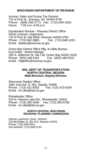# **WISCONSIN DEPARTMENT OF REVENUE**

Income, Sales and Excise Tax Division 731 N First St., Wausau, WI 54403-4700 Phone: (608) 266-2772 Fax: (715) 848-1033 Hours: 7:45 a.m.-4:30 p.m

Equalization Bureau - Wausau District Office David Lockrem, Supervisor 731 N First St.,Ste 6000, Wausau 54403-4700 Phone: (715) 842-5885 Email: eqlwau@revenue.wi.gov

Green Bay District Office Mfg. & Utility Bureau Kurt Keller - District Manger 200 N. Jefferson St. Ste 126, Green Bay 54301-5100 Phone: (920) 448-5191 Fax: (920) 448-5210 Email: mfgtel81@revenue.wi.gov

### **WIS. DEPT OF TRANSPORTATION NORTH CENTRAL REGION Matt Bronson, Deputy Director**

Wisconsin Rapids Office: 1681 2nd Ave. S; Wis. Rapids, 54495 Phone: (715) 421-8302 Email: ncr.dtsd@dot.wi.gov

Rhinelander Office: 510 N. Hanson Lake Rd.; Rhinelander, 54501 Phone: (715) 365-3490 Fax: (715) 365-5780 Email: ncr.dtsd@dot.wi.gov

### **NORTH CENTRAL WISCONSIN REGIONAL PLANNING COMMISSION**

Dennis Lawrence, Exec. Director 210 McClellan St, Ste 210, Wausau 54403 Phone: (715) 849-5510 Fax Number: (715) 849-5110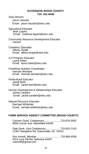### **EXTENSION WOOD COUNTY 715- 421-8440**

- Area Director Jason Hausler Email: jason.hausler@wisc.edu
- Agricultural Educator Matt Lippert Email: matthew.lippert@wisc.edu
- Community Resource Development Educator Vacant
- Cranberry Specialist Allison Jonjak Email: allison.jonjak@wisc.edu
- 4-H Program Educator Laura Huber Email: laura.huber@wisc.edu
- FoodWise Nutrition Coordinator Hannah Wendels Email: Hannah.wendels@wisc.edu
- Horticultural Educator Janell Wehr Email: Janell.wehr@wisc.edu
- Human Development & Relationships Educator Jackie Carattini Email: jackie.carattini@wisc.edu
- Natural Resource Educator Rachael Whitehair Email: rachael.whitehair@wisc.edu

### **FARM SERVICE AGENCY COMMITTEE (WOOD COUNTY)**

Carmen Good, Chairperson.......................715-676-3932 8658 Lincoln Ave, Marshfield 54449

Dale Denk, Vice Chairperson.....................715-652-2143 11907 Rangeline Rd, Auburndale, WI 54412

Ron Arendt, Member .................................715-886-4038 4313 Lynn Hill Rd, Nekoosa 54457 rcarendt@gmail.com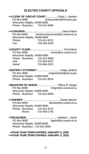# **ELECTED COUNTY OFFICIALS**

| ++CLERK OF CIRCUIT COURT Cindy L. Joosten<br>PO Box 8095 cindy.joosten@wicourts.gov<br>Wisconsin Rapids, 54495-8095<br>Phone - Business: 715-421-8495   |
|---------------------------------------------------------------------------------------------------------------------------------------------------------|
| PO Box 8095 woodcountycoroner@co.wood.wi.us<br>Wisconsin Rapids, 54495-8095<br>$715 - 421 - 8701$<br>Phone:<br>715-459-4333<br>Fax:                     |
| tminer@co.wood.wi.us<br>PO Box 8095<br>Wisconsin Rapids, 54495-8095<br>Phone - Business: 715-421-8460<br>Cell:<br>715-819-6227<br>715-884-2337<br>Home: |
| craig.lambert@da.wi.gov<br>PO Box 8095<br>Wisconsin Rapids, 54495-8095<br>Phone - Business: 715-421-8515                                                |
| +REGISTER OF DEEDS  Tiffany R. Ringer<br>tringer@co.wood.wi.us<br>PO Box 8095<br>Wisconsin Rapids, 54495-8095<br>Phone - Business: 715-421-8450         |
| sbecker@co.wood.wi.us<br>PO Box 8095<br>Wisconsin Rapids, 54495-8095<br>Phone - Business: 715-421-8715<br>Home: 715-459-1743                            |
| PO Box 8095<br>hgehrt@co.wood.wi.us<br>Wisconsin Rapids, 54495-8095<br>Phone - Business: 715-421-8484                                                   |
| +FOUR YEAR TERM EXPIRES JANUARY 6, 2025                                                                                                                 |

**++FOUR YEAR TERM EXPIRES JANUARY 2, 2023**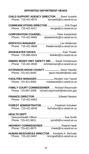# **APPOINTED DEPARTMENT HEADS**

| <b>CHILD SUPPORT AGENCY DIRECTOR Brent Vruwink</b><br>Phone: 715-421-8575<br>byruwink@co.wood.wi.us                                                                                                                                                                                                                                                                                                                                                                                                                                                                                                                                                                               |
|-----------------------------------------------------------------------------------------------------------------------------------------------------------------------------------------------------------------------------------------------------------------------------------------------------------------------------------------------------------------------------------------------------------------------------------------------------------------------------------------------------------------------------------------------------------------------------------------------------------------------------------------------------------------------------------|
| <b>COMMUNICATIONS DIRECTORErik Engel</b><br>Phone: 715-421-8417<br>eengel@co.wood.wi.us                                                                                                                                                                                                                                                                                                                                                                                                                                                                                                                                                                                           |
| CORPORATION COUNSEL Peter Kastenholz<br>Phone: 715-421-8465 pkastenholz@co.wood.wi.us                                                                                                                                                                                                                                                                                                                                                                                                                                                                                                                                                                                             |
| Phone: 715-421-8668 lheideman@co.wood.wi.us                                                                                                                                                                                                                                                                                                                                                                                                                                                                                                                                                                                                                                       |
| Phone: 715-885-8324 ktheiler@co.wood.wi.us                                                                                                                                                                                                                                                                                                                                                                                                                                                                                                                                                                                                                                        |
| <b>EMERG MGMT/ HWY SAFETY DIRSarah Christensen</b><br>Phone: 715-421-8500 schristensen@co.wood.wi.us                                                                                                                                                                                                                                                                                                                                                                                                                                                                                                                                                                              |
| <b>EXTENSION WOOD COUNTY </b> Jason Hausler<br>Phone: 715-421-8440<br>jason.hausler@wisc.edu                                                                                                                                                                                                                                                                                                                                                                                                                                                                                                                                                                                      |
| FACILITIES MANAGER Reuben Van Tassel<br>Phone: 715-421-8404 rvantassel@co.wood.wi.us                                                                                                                                                                                                                                                                                                                                                                                                                                                                                                                                                                                              |
| <b>FAMILY COURT COMMISSIONER  Richard Weymouth</b><br>Phone: 715-697-3458 richard.weymouth@wicourts.gov                                                                                                                                                                                                                                                                                                                                                                                                                                                                                                                                                                           |
| <b>FINANCE DIRECTOR.</b> [ <i>n</i> <sub>1</sub> , <i>n</i> <sub>2</sub> , <i>n</i> <sub>2</sub> , <i>n</i> <sub>2</sub> , <i>n</i> <sub>2</sub> , <i>n</i> <sub>2</sub> , <i>n</i> <sub>2</sub> , <i>n</i> <sub>2</sub> , <i>n</i> <sub>2</sub> , <i>n</i> <sub>2</sub> , <i>n</i> <sub>2</sub> , <i>n</i> <sub>2</sub> , <i>n</i> <sub>2</sub> , <i>n</i> <sub>2</sub> , <i>n</i> <sub>2</sub> , <i>n</i> <sub>2</sub> , <i>n</i> <sub>2</sub> , <i>n</i> <sub>2</sub> , <i>n</i> <sub>2</sub> , <i>n</i> <sub>2</sub> , <i>n</i> <sub>2</sub> , <i>n</i> <sub>2</sub> , <i>n</i> <sub>2</sub> , <i>n</i> <sub>2</sub> , <i>n</i> <sub>2</sub> , <i></i><br>Phone: 715-421-8463 |
| FOREST ADMINISTRATOR Frederick Schubert<br>Phone: 715-421-8549<br>fschubert@co.wood.wi.us                                                                                                                                                                                                                                                                                                                                                                                                                                                                                                                                                                                         |
| <b>HEALTH DEPT.</b><br>Phone: 715-421-8911<br>ssmith@co.wood.wi.us                                                                                                                                                                                                                                                                                                                                                                                                                                                                                                                                                                                                                |
| <b>HIGHWAY COMMISSIONER</b> Roland Hawk<br>Phone: 715-421-8875<br>$r$ hawk $@$ co.wood.wi.us                                                                                                                                                                                                                                                                                                                                                                                                                                                                                                                                                                                      |
| HUMAN RESOURCES DIRECTOR  Kimberly A. McGrath<br>Phone: 715-421-8457<br>kmcgrath@co.wood.wi.us                                                                                                                                                                                                                                                                                                                                                                                                                                                                                                                                                                                    |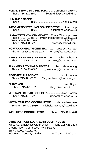| <b>HUMAN SERVICES DIRECTOR Brandon Vruwink</b><br>Phone: 715-421-8600<br>bkyruwink@co.wood.wi.us                                                   |
|----------------------------------------------------------------------------------------------------------------------------------------------------|
| <b>HUMANE OFFICER</b><br>Phone: 715-421-8700 Nanci Olson                                                                                           |
| <b>INFORMATION TECHNOLOGY DIRECTORAmy Kaup</b><br>Phone: 715-421-8435<br>akaup@co.wood.wi.us                                                       |
| LAND & WATER CONSERVATIONIST  Shane Wucherpfennig<br>Phone: 715-421-8578 swucherpfennig@co.wood.wi.us<br>eronag@hotmail.com<br>Phone: 715-498-5222 |
| <b>NORWOOD HEALTH CENTERMarissa Kornack</b><br>Phone: 715-384-2188 Ext. 3229 mkornack@co.wood.wi.us                                                |
| <b>PARKS AND FORESTRY DIRECTOR Chad Schooley</b><br>------<br>Phone: 715-421-8422<br>cschooley@co.wood.wi.us                                       |
| PLANNING & ZONING DIRECTOR Jason Grueneberg<br>Phone: 715-421-8466<br>jgrueneberg@co.wood.wi.us                                                    |
| REGISTER IN PROBATE<br>Mary Anderson<br>Phone: 715-421-8523 Mary.Anderson@wicourts.gov                                                             |
| Kevin Boyer                                                                                                                                        |
| <b>VETERANS SERVICE OFFICER </b><br>Rock Larson<br>Phone: 715-421-8420<br>rlarson@co.wood.wi.us                                                    |
| VICTIM/WITNESS COORDINATORMichele Newman<br>Phone: 715-421-8580 michele.newman@da.wi.gov                                                           |
| <b>WELLNESS COORDINATOR</b><br>Phone: 715-421-8428                                                                                                 |
|                                                                                                                                                    |

# **OTHER OFFICES LOCATED IN COURTHOUSE**

Wood Co. Employees Credit Union Phone 715-421-2313 Ground Floor - Courthouse - Wis. Rapids Email: wcecu@wctc.net **HOURS:** Tuesday - Friday ........... 10:00 a.m. – 3:00 p.m.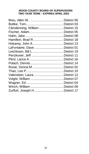### **WOOD COUNTY BOARD OF SUPERVISORS TWO YEAR TERM – EXPIRES APRIL 2024**

| Clendenning, William District 15 |  |
|----------------------------------|--|
|                                  |  |
|                                  |  |
|                                  |  |
|                                  |  |
| LaFontaine, DaveDistrict 01      |  |
|                                  |  |
|                                  |  |
|                                  |  |
|                                  |  |
|                                  |  |
|                                  |  |
|                                  |  |
|                                  |  |
|                                  |  |
|                                  |  |
| Zurfluh, Joseph HDistrict 17     |  |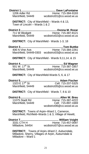| <b>DISTRICT:</b> City of Marshfield – Wards 4 & 13,<br>Town of Lincoln - Wards 1 & 2                                            |  |                                                                                  |
|---------------------------------------------------------------------------------------------------------------------------------|--|----------------------------------------------------------------------------------|
|                                                                                                                                 |  | 11 W Blodgett Mome: 715-387-8121<br>Marshfield, 54449 wcdistrict02@co.wood.wi.us |
| <b>DISTRICT:</b> City of Marshfield - Wards 1-3, 18                                                                             |  |                                                                                  |
|                                                                                                                                 |  |                                                                                  |
| DISTRICT: City of Marshfield - Wards 9,11,14, & 15                                                                              |  |                                                                                  |
|                                                                                                                                 |  |                                                                                  |
| <b>DISTRICT:</b> City of Marshfield-Wards 5, 6, & 17                                                                            |  |                                                                                  |
| <b>District 5</b>                                                                                                               |  | 1323 E 17 <sup>th</sup> St<br>Marshfield, 54449 wcdistrict05@co.wood.wi.us       |
| <b>DISTRICT:</b> City of Marshfield - Wards 7, 8 & 10                                                                           |  |                                                                                  |
| 11075 Stadt Rd<br>uaul Kd. د.<br>Marshfield, 54449                                                                              |  | Home: 715-387-4222<br>Cell: 715-897-1669<br>wcdistrict06@co.wood.wi.us           |
| <b>DISTRICT:</b> Towns of Arpin-Ward 1, Cameron,<br>Marshfield, Richfield-Wards 1 & 3, Village of Hewitt,                       |  |                                                                                  |
|                                                                                                                                 |  | Home: 715-457-0097                                                               |
| <b>DISTRICT:</b> Towns of Arpin-Ward 2, Auburndale,<br>Milladore, Sherry, Villages of Arpin, Auburndale &<br>Milladore - Ward 1 |  |                                                                                  |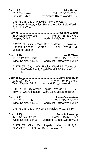| 5611 Scott Ave.                                                       | Jake Hahn.<br>Cell: 715-305-6664<br>Pittsville. 54466wcdistrict08@co.wood.wi.us                        |
|-----------------------------------------------------------------------|--------------------------------------------------------------------------------------------------------|
| <b>DISTRICT:</b> City of Pittsville, Towns of Cary,<br>2. Rock & Wood | Cranmoor, Dexter, Hiles, Remington, Richfield-Ward                                                     |
| 6814 State Hwy 186<br>Vesper, 54489                                   | Home: 715-569-4789<br>wcdistrict09@co.wood.wi.us                                                       |
| Village of Vesper                                                     | <b>DISTRICT:</b> City of Wis. Rapids–Ward 6, Towns of,<br>Hansen, Seneca - Wards 1-3, Sigel - Ward 1 & |
| $1010 11th$ Ave. North<br>Wisc. Rapids, 54495                         | Lee P. Thao<br>Cell: 715-697-0303<br>wcdistrict10@co.wood.wi.us                                        |

**DISTRICT:** City of Wis. Rapids–Ward 1-3, Towns of Rudolph–Wards 1 & 2, Sigel–Ward 2 & Village of **Rudolph** 

# **District 11.................................................Jeff Penzkover** 1231 17th St. N Phone: 715-340-9761 Wisc. Rapids, 54494 wcdistrict11@co.wood.wi.us

**DISTRICT:** City of Wis. Rapids – Wards 11-13 & 17, Town of Grand Rapids – Ward 11 & Village of Biron

**District 12............................................. Laura Valenstein**  $731.3<sup>rd</sup>$  St. South Wisc. Rapids, 54494 wcdistrict12@co.wood.wi.us

**DISTRICT:** City of Wisconsin Rapids–9, 10, 14-16

| 421 $25th$ Ave. South | Home: 715-423-1277         |
|-----------------------|----------------------------|
| Wisc. Rapids, 54495   | wcdistrict13@co.wood.wi.us |

**DISTRICT:** City of Wis. Rapids – Wards 4, 5, 7, 8, 22 & 23, Town of Grand Rapids – Ward 1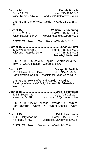Wisc. Rapids, 54494 wcdistrict14@co.wood.wi.us

**District 14................................................. Dennis Polach**  $241 - 14^{\text{th}}$  St S Home: 715-424-1749

**DISTRICT:** City of Wis. Rapids – Wards 18-21, 25 & 26

# **District 15.......................................William Clendenning**

Home: 715-423-2469 Wisc. Rapids, 54494 wcdistrict15@co.wood.wi.us

**DISTRICT:** Town of Grand Rapids–Wards 5, 7-10

**District 16..................................................Lance A. Pliml** 4030 Woodhaven Ct Home: 715-421-4001 Wisconsin Rapids, 54494 Cell: 715-213-4002 lance1@charter.net

**DISTRICT:** City of Wis. Rapids – Wards 24 & 27; Town of Grand Rapids – Wards 2, 3 & 6

**District 17............................................Joseph H. Zurfluh** 1150 Pleasant View Drive Cell : 715-213-6082 Port Edwards, 54469 wcdistrict17@co.wood.wi.us

**DISTRICT:** Towns of Grand Rapids – Ward 4, Saratoga – Wards 4-6 & 9, Village of Pt. Edwards –  $W$ ards $1-3$ 

# **District 18.............................................Brad R. Hamilton**

515 S Section St Cell: 715-213-2984 Nekoosa, 54457 wcdistrict18@co.wood.wi.us

**DISTRICT:** City of Nekoosa – Wards 1-4, Town of Port Edwards – Wards 1-4, Town of Seneca – Ward 4

**District 19............................................. Bill L. Leichtnam** 13413 Hollywood Rd Home: 715-886-5107 Nekoosa, 54457 wcdistrict19@co.wood.wi.us

**DISTRICT:** Town of Saratoga – Wards 1-3, 7, 8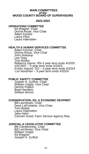### **MAIN COMMITTEES of the WOOD COUNTY BOARD OF SUPERVISORS**

### **2022-2024**

### **OPERATIONS COMMITTEE**

Ed Wagner, Chair Donna Rozar, Vice Chair Adam Fischer Lance Pliml Laura Valenstein

### **HEALTH & HUMAN SERVICES COMMITTEE**

Adam Fischer, Chair Donna Rozar, Vice Chair John Hokamp Lee Thao Tom Buttke Rebecca Spiros, RN-3 year term ends 4/2025 VACANT – 3-year term ends 4/2023 Kristin Iniquez, DO – 3-year term ends 4/2024 Lori Nordman – 3-year term ends 4/2024

# **PUBLIC SAFETY COMMITTEE**

Joseph H. Zurfluh, Chair William Voight, Vice Chair Dennis Polach Brad Hamilton William Winch

### **CONSERVATION, ED. & ECONOMIC DEVPMNT**

Bill Leichtnam, Chair Dave LaFontaine, Vice Chair Tom Buttke Laura Valenstein Jake Hahn Carmen Good, Farm Service Agency Rep.

### **JUDICIAL & LEGISLATIVE COMMITTEE**

Bill Clendenning, Chair Bill Leichtnam, Vice Chair William Voight Ed Wagner Joseph H. Zurfluh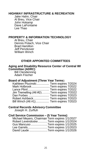# **HIGHWAY INFRASTRUCTURE & RECREATION**

Jake Hahn, Chair Al Breu, Vice Chair John Hokamp Dave LaFontaine Lee Thao

### **PROPERTY & INFORMATION TECHNOLOGY**

Al Breu, Chair Dennis Polach, Vice Chair Brad Hamilton Jeff Penzkover William Winch

### **OTHER APPOINTED COMMITTEES**

### **Aging and Disability Resource Center of Central WI Committee (ADRC)**

Bill Clendenning Adam Fischer

### **Board of Adjustment (Three Year Terms**)

| Kathleen Plucinski Term expires 7/2024     |  |
|--------------------------------------------|--|
| Mark HolbrookTerm expires 7/2022           |  |
|                                            |  |
| Jim Tremelling (Alt #2)Term expires 7/2022 |  |
| Dan Forbes  Term expires 7/2023            |  |
| Robert Ashbeck Term expires 7/2023         |  |
| Bill Winch (Alt #1) Term expires 7/2023    |  |

# **Central Records Advisory Committee**

Joseph H. Zurfluh

### **Civil Service Commission – (5 Year Terms)**

| Michael Meyers, Chairman Term expires 1/1/2027 |  |  |
|------------------------------------------------|--|--|
| Robert LevendoskeTerm expires 1/1/2024         |  |  |
| Gus Mancuso Term expires 1/1/2025              |  |  |
| Lee GarrelsTerm expires 1/1/2023               |  |  |
| David Laude Term expires 1/1/2026              |  |  |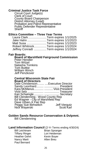# **Criminal Justice Task Force**

Circuit Court Judge(s) Clerk of Court County Board Chairperson District Attorney (Lead) Probation and Patrol Representative Public Defender Representative **Sheriff** 

### **Ethics Committee – Three Year Terms**

| Laura ClarkTerm expires 1/1/2025      |  |  |
|---------------------------------------|--|--|
| Jake Hahn Term expires 1/1/2023       |  |  |
| Matt Susa Term expires 1/1/2023       |  |  |
| Robert WhitrockTerm expires 1/1/2024  |  |  |
| Jeffrey Conradt Term expires 1/1/2024 |  |  |

### **Fair Boards:**

**Board of Marshfield Fairground Commission** Peter Hendler Tom Witzel

Natasha Tomkins Tom Buttke William Winch Jeff Penzkover

#### **Central Wisconsin State Fair Board of Directors**

| Sandy Leonhard  President    |
|------------------------------|
| Kara McManus  Vice-President |
|                              |
| Kari Schwingle   Secretary   |
|                              |
|                              |
|                              |
|                              |
| Jeff Viergutz<br>Scott Karl  |
|                              |

# **Golden Sands Resource Conservation & Dvlpmnt.**

Bill Clendenning

# **Land Information Council** (2-Yr Terms ending 4/30/24)

Heather Gehrt Kevin Boyer Nancy Marti **Allen Breu** Paul Bernard

Bill Leichtnam Brian Spranger Tiffany Ringer Lori Heideman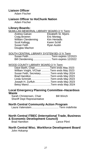# **Liaison Officer**

Adam Fischer

# **Liaison Officer to HoChunk Nation**

Adam Fischer

# **Library Boards:**

# McMILLAN MEMORIAL LIBRARY BOARD-3 Yr Term:

Craig Broeren Eric Montag William Clendenning Kim Heniadis<br>Scott Kellogg Karen Schill Scott Kellogg<br>Susan Feith Douglas Machon

Elizabeth St. Myers<br>Eric Montag **Ryan Austin** 

| SOUTH CENTRAL LIBRARY SYSTEM BD-3 Yr Term |                                        |
|-------------------------------------------|----------------------------------------|
|                                           | Susan Feith Term expires 12/2023       |
|                                           | Bill Clendenning  Term expires 12/2022 |

| WOOD COUNTY LIBRARY BOARD-3 Yr Term |                                            |
|-------------------------------------|--------------------------------------------|
|                                     | Dave Barth, ChairTerm ends May 2023        |
|                                     | William Voight, V/Chair Term ends May 2023 |
|                                     | Susan Feith, SecretaryTerm ends May 2024   |
|                                     | Brad HamiltonTerm ends May 2023            |
|                                     | Linda SchmidtTerm ends May 2023            |
|                                     | Joseph H. ZurfluhTerm ends May 2023        |
|                                     | Betsy ManclTerm ends May 2024              |
|                                     |                                            |

### **Local Emergency Planning Committee–Hazardous Waste**

Sarah Christensen, Chair **Bill Winch** Sheriff Dept Representative

# **North Central Community Action Program**

Laura Valenstein.................................... Term indefinite

# **North Central ITBEC (International Trade, Business & Economic Development Council)**

**Brad Hamilton** 

### **North Central Wisc. Workforce Development Board** John Hokamp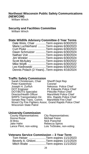### **Northeast Wisconsin Public Safety Communications (NEWCOM)**

William Winch

### **Security and Facilities Committee**

William Winch

### **State Wildlife Advisory Committee-3 Year Terms**

| Dale Weis, Chair Term expires 6/30/2023         |                                                                         |
|-------------------------------------------------|-------------------------------------------------------------------------|
| Marie Luchterhand Term expires 6/30/2023        |                                                                         |
|                                                 |                                                                         |
| Dawn Schmutzer Term expires 6/30/2024           |                                                                         |
|                                                 |                                                                         |
| Jim Winkler Term expires 6/30/2024              |                                                                         |
| Scott McAuley Term expires 6/30/2022            |                                                                         |
| Mike Wipfli Term expires 6/30/2022              |                                                                         |
| Leo Kiedrowski Term expires 6/30/2022           |                                                                         |
| Dennis Polach (2-Years). Term expires 4/16/2024 |                                                                         |
|                                                 | Curt Pluke Term expires 6/30/2023<br>Nathan Voit Term expires 6/30/2024 |

### **Traffic Safety Commission**

Sarah Christensen, Chair Sheriff Dept Rep<br>Peter Kastenholz Coroner Peter Kastenholz<br>Joseph H. Zurfluh Joseph H. Zurfluh Nekoosa Police Chief<br>DOT Engineer Pt. Edwards Police Ch Pt. Edwards Police Chief.<br>Pittsville Police Chief. DOT/BOTS Specialist<br>Director/Health Officer Director/Health Officer Marshfield Police Chief<br>
WRPS Transportation Dir. Wis. Rapids Police Chief WRPS Transportation Dir. Wis. Rapids Police Chief Senate Rep Trans. Comm. Marshfield Fire Chief Wood Cty Fire Fighters Assoc. Grand Rapids Police Chief Wisconsin State Patrol

### **University Commission**

County Representatives: City Representatives:<br>Donna Rozar Michael Feirer Al Breu Nick Poeschel Jake Hahn **Back Back Back State Hahn**<br>Lance Pliml, non-voting Lois TeStrake, r

Michael Feirer Lois TeStrake, non-voting

### **Veterans Service Commission – 3 Year Term**

| Tom Heiser Term expires 11/1/2023        |  |
|------------------------------------------|--|
| Beverly A. GhiloniTerm expires 11/1/2024 |  |
| Mitch Waite Term expires 11/1/2022       |  |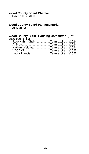### **Wood County Board Chaplain**

Joseph H. Zurfluh

# **Wood County Board Parliamentarian**

Ed Wagner

# **Wood County CDBG Housing Committee** (2-Yr

| Staggered Terms)                     |  |
|--------------------------------------|--|
| Jake Hahn, Chair Term expires 4/2024 |  |
| Al BreuTerm expires 4/2024           |  |
| Nathan Weidman Term expires 4/2024   |  |
| VACANTTerm expires 4/2023            |  |
| Laura Francis Term expires 4/2023    |  |
|                                      |  |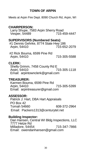# **TOWN OF ARPIN**

Meets at Arpin Fire Dept. 8090 Church Rd, Arpin, WI

# **CHAIRPERSON:**

Larry Shupe, 7583 Arpin Sherry Road<br>Vesper, 54489 715-459-4447 Vesper, 54489

# **SUPERVISORS (Numbered Seats):**

#1 Dennis Gehrke, 8774 State Hwy 186 715-652-2079

#2 Rick Bouma, 6599 Pine Rd Arpin, 54410 715-305-5588

# **CLERK:**

Shelly Grimm, 7458 County Rd E<br>Arpin, 54410 Arpin, 54410 Email: arpintownclerk@gmail.com

# **TREASURER:**

 Karmen Bouma, 6599 Pine Rd Arpin, 54410 715-305-5399 Email: arpintreasurer@gmail.com

# **ASSESSOR:**

Patrick J. Hart, DBA Hart Appraisals PO Box 42 Tomah 54660 608-372-2964 Email: Packers1313@centurytel.net

# **Building Inspector:**

Dan Hansen, Central WI Bldg Inspections, LLC 7777 Hetze Rd Milladore, 54454 715-347-7866 Email: owendanhansen@gmail.com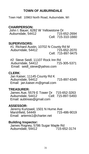# **TOWN OF AUBURNDALE**

Town Hall: 10963 North Road, Auburndale, WI

# **CHAIRPERSON:**

John I. Bauer, 6282 W Yellowstone Dr Auburndale, 54412 Cell: 715-310-1660

# **SUPERVISORS:**

 #1 Richard Austin, 10702 N County Rd M Auburndale, 54412 Cell: 715-897-9475

 #2 Steve Seidl, 11107 Rock Inn Rd Auburndale, 54412 Email: seidl\_steve@yahoo.com

# **CLERK**:

 Jan Kaiser, 11145 County Rd K Auburndale, 54412 715-897-6345 Email: jan.kaiser.m@gmail.com

# **TREASURER:**

 James Aue, 5579 E Tower Dr 715-652-3263 Auburndale, 54412 Cell: 715-897-5493 Email: aubtreas@gmail.com

# **ASSESSOR:**

 Jeremy Kurtzweil, 1501 N Hume Ave Marshfield, 54449 Email: artemis1@charter.net

# **Building Inspector:**

James Rogney, 5786 Sugar Maple Rd<br>Auburndale, 54412<br>**15-652-3174** Auburndale, 54412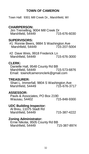# **TOWN OF CAMERON**

Town Hall: 9301 Mill Creek Dr., Marshfield, WI

# **CHAIRPERSON:**

 Jim Tremelling, 9004 Mill Creek Dr Marshfield, 54449

# **SUPERVISORS:**

#1 Ronnie Beers, 9884 S Washington Ave Marshfield,  $54449$ 

#2 Dave Weis, 9918 Frederick Ln Marshfield, 54449

# **CLERK:**

Danielle Hall, 9548 County Rd BB<br>Marshfield, 54449 715-573-6876 Marshfield, 54449 Email: townofcameronclerk@gmail.com

# **TREASURER:**

 Shari L. Immerfall, 9804 S Washington Ave Marshfield, 54449 715-676-3717

### **ASSESSOR:**

 Pauls & Associates, PO Box 2190 Wausau, 54402 715-848-9300

### **UDC Building Inspector:**

 Al Breu, 11075 Stadt Rd Marshfield, 54449 715-387-4222

### **Zoning Administrator:**

 Ernie Nikolai, 9505 County Rd BB Marshfield, 54449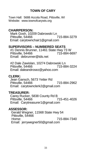# **TOWN OF CARY**

Town Hall: 5688 Accola Road, Pittsville, WI Website: www.townofcarywis.org

# **CHAIRPERSON:**

 Mark Gosh, 10209 Dabrowski Ln Pittsville, 54466 Email: carytownchair1@gmail.com

# **SUPERVISORS – NUMBERED SEATS**

 #1 Dennis Brunner, 11461 State Hwy 73 W Pittsville, 54466 715-884-6697 Email: debrunner@tds.net

 #2 Dale Zawislan, 10274 Dabrowski Ln Pittsville, 54466 Email: daleandrosez@yahoo.com

# **CLERK:**

 Jean Gansch, 5673 Yetter Rd Pittsville, 54466 715-884-2962 Email: carytownclerk2@gmail.com

### **TREASURER:**

 Carey Rucker, 5838 County Rd B Pittsville, 54466 715-451-4026 Email: Carytreasurer1@gmail.com

# **ASSESSOR:**

 Gerald Wegner, 11568 State Hwy 54 Pittsville, 54466<br>Home: 715-884-7340 Email: jerrywegner50@gmail.com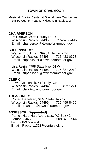# **TOWN OF CRANMOOR**

Meets at: Visitor Center at Glacial Lake Cranberries, 2466C County Road D, Wisconsin Rapids, WI

# **CHAIRPERSON**:

Phil Brown, 2466 County Rd D Wisconsin Rapids, 54495 715-570-7445 Email: chairperson@townofcranmoor.gov

# **SUPERVISORS:**

Warren Brockman, 3990A Hemlock Trl Wisconsin Rapids, 54495 715-423-0378 Email: supervisor1@townofcranmoor.gov

Lisa Rezin, 4798 State Hwy 54 W Wisconsin Rapids, 54495 715-887-2910 Email: supervisor2@townofcranmoor.gov

# **CLERK**:

Fawn Gottschalk, 412 Daly Ave Wisconsin Rapids, 54494<sup>'</sup> 715-422-1221 Email: clerk@townofcranmoor.gov

# **TREASURER**:

Robert Detlefsen, 6140 State Hwy 173 Wisconsin Rapids, 54495 715-459-8499 Email: treasurer@townofcranmoor.gov

# **ASSESSOR: (Appointed)**

Patrick Hart, Hart Appraisals, PO Box 42 Tomah, 54660 Fax: 608-372-2964 Email: Packers1313@centurytel.net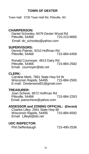# **TOWN OF DEXTER**

Town Hall: 3730 Town Hall Rd, Pittsville, WI

# **CHAIRPERSON:**

Daniel Schooley, 8479 Dexter Wood Rd<br>Pittsville, 54466 Pittsville, 54466 Email: dn\_schooley@yahoo.com

# **SUPERVISORS:**

Dennis Palmer, 9210 Hoffman Rd<br>Pittsville, 54466 715-884-6458 Pittsville, 54466

Ronald Cournoyer, 4813 Dairy Rd<br>Pittsville, 54466 715-884-2582 Pittsville, 54466 Email: cournoyer@tds.net

# **CLERK:**

Caroline Merk, 7861 State Hwy 54 W<br>Wisconsin Rapids, 54495 715-884-2565 Wisconsin Rapids, 54495 E-mail: Dexterwood01@gmail.com

# **TREASURER:**

 Joan Scheve, 9572 Hoffman Rd Pittsville, 54466 Email: joanscheve@yahoo.com

#### **ASSESSOR and ZONING OFFICIAL: (Elected)** Charles Lilley, 2941 State Hwy 80<br>Wisconsin Rapids, 54495 715-884-6592 Wisconsin Rapids, 54495 Email: Lilley6@tds.net

# **UDC INSPECTOR:**

Phil Deffenbaugh 715-490-2536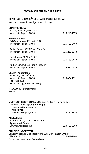## **TOWN OF GRAND RAPIDS**

Town Hall: 2410 48<sup>th</sup> St S, Wisconsin Rapids, WI Website: www.townofgrandrapids.org

#### **CHAIRPERSON:**

| Jeremy Eichhorn, 6931 Lisa Ln<br>Wisconsin Rapids, 54494                                                                                           | 715-218-1879 |
|----------------------------------------------------------------------------------------------------------------------------------------------------|--------------|
| <b>SUPERVISORS:</b><br>Bill Clendenning, 1811 45 <sup>th</sup> St S<br>Wisconsin Rapids, 54494                                                     | 715-423-2469 |
| Amber France, 4920 Prairie View Dr<br>Wisconsin Rapids, 54494                                                                                      | 715-218-6278 |
| Patty Lumby, 1221 56 <sup>th</sup> St S<br>Wisconsin Rapids, 54494                                                                                 | 715-423-2449 |
| Andrew Simon, 5121 Prairie Ridge Dr<br>Wisconsin Rapids, 54494                                                                                     | 715-459-2044 |
| <b>CLERK (Appointed):</b><br>Lisa Dotter, 2410 48 <sup>th</sup> St S<br>Wisconsin Rapids, 54494<br>Fax: 424-0688<br>Email: clerk@grandrapidswi.org | 715-424-1821 |

#### **TREASURER (Appointed):**

Vacant

#### **MULTI-JURISDICTIONAL JUDGE:** (4-Yr Term Ending 4/30/24)

(Towns of Grand Rapids & Saratoga) Honorable Nicholas Abts 2410 48<sup>th</sup> St. S Wisconsin Rapids, 54494 715-424-1830

#### **ASSESSOR:**

 John Bodouski, 3005 W Brewster St Appleton WI 54914 Bowmar Appraisal, Inc. 66 and 10 and 10 and 10 and 10 and 10 and 10 and 10 and 10 and 10 and 10 and 10 and 10 and 10 and 10 and 10 and 10 and 10 and 10 and 10 and 10 and 10 and 10 and 10 and 10 and 10 and 10 and 10 and 10

#### **BUILDING INSPECTOR:**

Central Wisconsin Bldg Inspections LLC, Dan Hansen-Owner<br>Milladore, 54454<br>715-347-7866 Milladore, 54454 Email: owendanhansen@gmail.com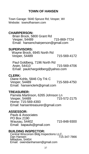# **TOWN OF HANSEN**

Town Garage: 5640 Spruce Rd; Vesper, WI Website: townofhansen.com

# **CHAIRPERSON:**

 Brian Brock, 5800 Grant Rd Vesper, 54489 715-869-7724 Email: hansenchairperson@gmail.com

### **SUPERVISORS:**

 Wayne Brock, 6945 North Rd Vesper, 54489 715-569-4172

Paul Goldberg, 7196 North Rd Arpin, 54410<sup>-</sup> 715-569-4706 Email: paulchargoldberg@yahoo.com

# **CLERK:**

 Diane Kohls, 5846 Cty Trk C Vesper, 54489 715-569-4750 Email: hansenclerk@gmail.com

# **TREASURER:**

 Pamela Martinson, 6265 Johnson Ln Vesper, 54489 715-572-2175 Home: 715-569-4393 Email: hansentreasurer@gmail.com

# **ASSESSOR:**

Pauls & Associates PO Box 2190 Wausau, 54402 715-848-9300 Email: bapauls@gmail.com

# **BUILDING INSPECTOR:**

Central Wisconsin Bldg Inspections LLC, Dan Hansen Milladore, 54454 Email: owendanhansen@gmail.com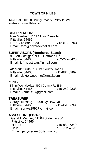# **TOWN OF HILES**

Town Hall: 10108 County Road V, Pittsville, WI Website: townofhiles.com

# **CHAIRPERSON:**

Tom Gardner, 11114 Hay Creek Rd Pittsville, 54466 Hm : 715-884-8020 715-572-0703 Email: tom@haycreekpallet.com

# **SUPERVISORS (Numbered Seats):**

**#1** Jeff Costigan, 9999 Hoffman Rd Pittsville, 54466 262-227-0420 Email: jeffrycostigan@gmail.com

**#2** Mark Gudel, 10013 County Road E Pittsville, 54466 Email: dexterwoodmg@gmail.com

# **CLERK:**

Kimm Wojtalewicz, 9903 County Rd E S Pittsville, 54466 Email : kbmeis18@gmail.com

# **TREASURER:**

Soraya Krostag, 10498 Ivy Dow Rd Pittsville, 54466 715-451-5699 Email: soraya1992@gmail.com

# **ASSESSOR: (Elected)**

 Gerald Wegner, 11568 State Hwy 54 Pittsville, 54466<br>Home: 715-884-7340 Cell: 715-252-4873 Email: jerrywegner50@gmail.com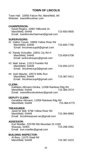# **TOWN OF LINCOLN**

Town Hall: 10905 Falcon Rd, Marshfield, WI Website: townoflincolnwc.com

| <b>CHAIRPERSON:</b><br>David Rogers, 10907 Millcreek Dr<br>Marshfield, 54449<br>Email: townlincolnchairman@gmail.com         | 715-650-0655 |
|------------------------------------------------------------------------------------------------------------------------------|--------------|
| <b>SUPERVISORS:</b><br>#1 Dalton Tysver, 10859 Yellow River Rd<br>Marshfield, 54449<br>Email: lincolnwcsupdt@gmail.com       | 715-650-7790 |
| #2 Randy Schueller, 10641 Cty Rd H<br>Marshfield, 54449<br>Email: wclincolnsuprs@gmail.com                                   | 715-659-0708 |
| #3 Matt Joiner, 11513 Franklin Rd<br>Marshfield, 54449<br>Email: lincolnwcsup3@gmail.com                                     | 715-650-2272 |
| #4 Josh Mauritz, 10573 Wills Run<br>Marshfield, 54449<br>Email: lincolnwcsup4@gmail.com                                      | 715-387-0411 |
| <b>CLERK:</b><br>Kathleen Altmann-Drinka, 11938 Rainbow Rdg Rd<br>Marshfield, 54449<br>Email: townoflincolnclerkwc@gmail.com | 715-384-2574 |
| <b>DEPUTY CLERK:</b><br>Geraldine Altmann, 11959 Rainbow Rdg Rd<br>Marshfield, 54449                                         | 715-384-5775 |
| <b>TREASURER:</b><br>Janet M. Bell, 9796 Yellow River Rd<br>Marshfield, 54449<br>Email: lincolntreasurer.wc@gmail.com        | 715-384-8963 |
| <b>ASSESSOR:</b><br>Kurt Moeller, 225780 Rib Mountain Dr #165<br>Wausau, 54401<br>Email: kurt.moeller@gmail.com              | 715-298-2061 |
| <b>BUILDING INSPECTOR:</b><br>Al Breu, 11075 Stadt Rd<br>Marshfield, 54449                                                   | 715-387-4222 |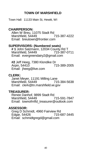# **TOWN OF MARSHFIELD**

Town Hall: 11133 Main St, Hewitt, WI

# **CHAIRPERSON:**

Allen W Breu, 11075 Stadt Rd<br>Marshfield, 54449 715-387-4222 Marshfield, 54449 Email: breutown@frontier.com

# **SUPERVISORS: (Numbered seats)**

 **# 1** John Salzmann, 12034 County Rd T Marshfield, 54449 Email: evergreendairy2@gmail.com

**#2** Jeff Heeg, 7380 Klondike Dr Arpin, 54410 Email: iheeg@live.com

# **CLERK:**

Janet Meyer, 11191 Milling Lane<br>Marshfield, 54449, 715-384-5638 Marshfield, 54449 Email: clerk@tn.marshfield.wi.gov

# **TREASURER:**

Renee Danhof, 9899 Stadt Rd Marshfield, 54449 715-591-7847 Email: townofmfld\_treasurer@outlook.com

# **ASSESSOR:**

Greg D Schmidt, 4960 Fairview Rd<br>Edgar, 54426 1715-687-3445 Edgar, 54426 Email: schmidtgregd@gmail.com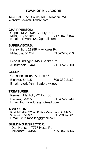# **TOWN OF MILLADORE**

Town Hall: 3720 County Rd P, Milladore, WI Website: townofmilladore.com

# **CHAIRPERSON:**

Connie Milz, 2905 County Rd P<br>Milladore, 54454 715-457-3106 Milladore, 54454 Email: TOMchair21@gmail.com

# **SUPERVISORS:**

 Henry Nigh, 11288 Mayflower Rd Milladore, 54454 715-652-3210

 Leon Kundinger, 4458 Becker Rd Auburndale, 54412 715-652-2500

# **CLERK:**

Christine Hollar, PO Box 46 Blenker, 54415 608-332-2162 Email: clerk@tn.milladore.wi.gov

# **TREASURER:**

 Kenneth Manlick, PO Box 56 Blenker, 54415 715-652-3944 Email: tnofmilladore@hotmail.com

# **ASSESSOR:**

Kurt Moeller 225780 Rib Mountain Dr #165 Wausau, 54401 Email: kurt.moeller@gmail.com

# **BUILDING INSPECTOR:**

 Dan Hansen, 7777 Hetze Rd Milladore, 54454 715-347-7866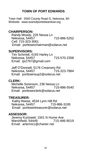# **TOWN OF PORT EDWARDS**

Town Hall: 2000 County Road G, Nekoosa, WI Website: www.townofportedwardswi.org

# **CHAIRPERSON:**

Randy Moody, 226 Nessa Ln Nekoosa, 54457 715-886-5252 Cell: 715-323-3061 Email: porttownchairman@solarus.net

# **SUPERVISORS:**

Tim Schmidt, 4193 Harley Ln Nekoosa, 54457 715-570-2358 Email: tjs2767@gmail.com

Jeff O'Donnell, 5176 Creamery Rd Nekoosa, 54457 Email: porttownsup2@solarus.net

# **CLERK:**

 Michelle Sorenson, 236 Nessa Ln Nekoosa, 54457 715-886-5540 Email: porttownclerk@solarus.net

# **TREASURER:**

 Kathy Reese, 4534 Lynn Hill Rd Nekoosa, 54457 Email: porttowntreasurer@solarus.net

# **ASSESSOR:**

 Jeremy Kurtzweil, 1501 N Hume Ave Marshfield, 54449 Email: artemis1@charter.net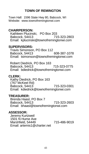# **TOWN OF REMINGTON**

Town Hall: 1596 State Hwy 80, Babcock, WI Website: www.townofremingtonwi.com

# **CHAIRPERSON:**

Kathleen Plucinski, PO Box 203<br>Babcock 54413 715-323-2803 Babcock, 54413 Email: kplucinski@townofremingtonwi.com

# **SUPERVISORS:**

Travis Simonson, PO Box 112 Babcock, 54413 608-387-1078 Email: tsimonson@townofremingtonwi.com

Robert Diedrick, PO Box 163 Babcock, 54413 715-323-0775 Email: bdiedrick@townofremingtonwi.com

# **CLERK:**

 Kathy Diedrick, PO Box 163 (767 McKeel Rd) Babcock, 54413 715-323-0301 Email: kdiedrick@townofremingtonwi.com

# **TREASURER:**

 Brenda Haasl, PO Box 7 Babcock, 54413 715-323-2603 Email: bhaasl@townofremingtonwi.com

# **ASSESSOR:**

 Jeremy Kurtzweil 1501 N Hume Ave Marshfield, 54449 715-486-9019 Email: artemis1@charter.net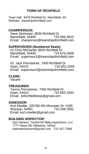# **TOWN OF RICHFIELD**

Town Hall: 8478 Richfield Dr, Marshfield, WI Website: townshipofrichfield.com

# **CHAIRPERSON:**

Dave Steinmetz, 8639 Richfield Dr<br>Marshfield, 54449 715-650-3610 Marshfield, 54449 Email: chairperson@townshipofrichfield.com

# **SUPERVISORS (Numbered Seats):**

 #1 Chris McDaniel, 8620 Richfield Dr Marshfield, 54449 Email: supervisor1@townshipofrichfield.com

 #2 Jack Pernsteiner, 7400 Richfield Dr Arpin, 54410 Email: supervisor2@townshipofrichfield.com

# **CLERK:**

Vacant

# **TREASURER:**

Tammi Pernsteiner, 7400 Richfield Dr<br>Arpin, 54410 715-652-3344 Arpin, 54410 Email: tofrichfieldtreas@gmail.com

### **ASSESSOR:**

Kurt Moeller, 225780 Rib Mountain Dr #165 Wausau, 54401 715-298-2061 Email: kurt.moeller@gmail.com

# **BUILDING INSPECTOR:**

Dan Hansen, Central WI Bldg Inspections, LLC 7777 Hetze Rd, Milladore, 54454 owendanhansen@gmail.com 715-347-7866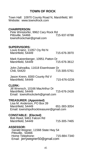# **TOWN OF ROCK**

Town Hall: 10970 County Road N, Marshfield, WI Website: www.townofrock.com

#### **CHAIRPERSON:**

Pete Winistorfer, 9962 Cary Rock Rd<br>Pittsville. 54466 715-937-8788 Pittsville, 54466 townofrockchair@gmail.com

#### **SUPERVISORS:**

 Louis Krainz, 11057 Cty Rd N Marshfield, 54449 715-676-3970

Mark Katzenberger, 10951 Patton Dr<br>Marshfield, 54449 715-676-3612 Marshfield, 54449

 John Zahradka, 11618 Eisenhower Dr 715-305-5761

 Jason Krenn, 8300 County Rd V Marshfield, 54449 715-676-0226

#### **CLERK:**

 Jill Wrensch, 10166 MacArthur Dr Marshfield, 54449 715-676-2428 Email: townofrockclerk@gmail.com

#### **TREASURER: (Appointed)**

 Lisa M. Anderson, PO Box 39 Marshfield, 54449 651-383-3054 Email: townshipofrocktreasurer@gmail.com

#### **CONSTABLE: (Elected)**

 Bob Reed, 9461 Falcon Rd Marshfield, 54449 715-305-7465

#### **ASSESSOR:**

 Gerald Wegner, 11568 State Hwy 54 Pittsville, 54466 Home Telephone: 715-884-7340 Email: jerrywegner50@gmail.com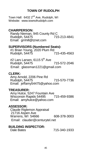# **TOWN OF RUDOLPH**

Town Hall: 6432 2<sup>nd</sup> Ave, Rudolph, WI Website: www.townofrudolph.com

# **CHAIRPERSON:**

Randy Nieman, 945 County Rd C<br>Rudolph, 54475 **1988** 715-213-4841 **Rudolph, 54475** Email: gmhill@tznet.com

# **SUPERVISORS (Numbered Seats):**

 #1 Brian Young, 2020 Plum Rd Rudolph, 54475 715-435-4563

 $#2$  Lars Larsen, 6115  $5<sup>th</sup>$  Ave Rudolph, 54475 715-572-2046 Email: glassman1221@gmail.com

### **CLERK:**

 Amy Arnold, 2206 Pine Rd Rudolph, 54475 715-570-7736 Email: jeffamy54475@yahoo.com

# **TREASURER:**

Amy Hulce, 5247 Fountain Ave<br>Wisconsin Rapids 54495 715-459-9386 Wisconsin Rapids 54495 Email: amyhulce@yahoo.com

# **ASSESSOR:**

 Claude Riglemon Appraisal 21716 Aspen Ave Warrens, WI 54666 608-378-3003 Email: clauder@centurytel.net

# **BUILDING INSPECTOR:**

Dale Bates 715-340-1933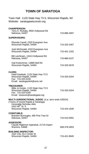# **TOWN OF SARATOGA**

Town Hall: 1120 State Hwy 73 S, Wisconsin Rapids, WI Website: saratogawisconsin.org

| <b>CHAIRPERSON:</b><br>Terry A. Rickaby, 9555 Hollywood Rd<br>Nekoosa, 54457                                                                          | 715-886-4097 |
|-------------------------------------------------------------------------------------------------------------------------------------------------------|--------------|
| <b>SUPERVISORS:</b>                                                                                                                                   |              |
| Rhonda Carrell, 2320 Evergreen Ave<br>Wisconsin Rapids, 54494                                                                                         | 715-325-2467 |
| Josh McDonald, 4310 Evergreen Ave<br>Wisconsin Rapids, 54494                                                                                          | 715-451-1202 |
| Bill Leichtnam, 13413 Hollywood Rd<br>Nekoosa, 54457                                                                                                  | 715-886-5107 |
| Gail Kretschmer, 14885 Bell Rd<br>Wisconsin Rapids, 54494                                                                                             | 715-325-5678 |
| <b>CLERK:</b><br>Heidi Kawleski, 1120 State Hwy 73 S<br>Wisconsin Rapids, 54494<br>Fax: 715-325-5249<br>Email: saratogaclerk@wctc.net                 | 715-325-5204 |
| <b>TREASURER:</b><br>Billie Jo Kester, 1120 State Hwy 73 S<br>Wisconsin Rapids, 54494<br>Fax: 715-325-5249<br>Email: treasurer@saratogawi.org         | 715-325-5204 |
| MULTI-JURISDICTIONAL JUDGE: (4 yr. term ends 4/30/24)<br>(Towns of Grand Rapids & Saratoga)<br>Honorable Nicholas Abts<br>2410 48 <sup>th</sup> St. S |              |
| Wisconsin Rapids, 54494                                                                                                                               | 715-424-1830 |
| <b>CONSTABLE:</b><br>Brandon Burroughs, 485 Pine Tree Dr<br>Nekoosa, 54457                                                                            | 715-510-0091 |
| <b>ASSESSOR:</b><br>Claude Riglemon Appraisal, 21716 Aspen<br>Warrens, 54666                                                                          | 608-378-3003 |
| <b>BUILDING INSPECTOR:</b><br>Josh Volz, 811 Center St<br>Wisconsin Rapids, 54494                                                                     | 715-421-9945 |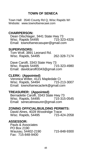# **TOWN OF SENECA**

Town Hall: 3540 County Rd Q, Wisc Rapids WI Website: www.townofsenecawi.com

# **CHAIRPERSON:**

Dean Oilschlager, 3441 State Hwy 73<br>Wisc, Rapids 54495 715-323-4326 Wisc. Rapids 54495 Email: townofsenecasuper@gmail.com

### **SUPERVISORS:**

Tom Wolf, 3891 Leonard Rd. Wisc. Rapids, 54495 262-328-7174

Dave Carolfi, 3343 State Hwy 73<br>Wisc Rapids 54495 715-323-4980 Wisc. Rapids 54495 Email: davidcarolfi3343@gmail.com

# **CLERK: (Appointed)**

Veronica Witter, 4121 Mapledale Ct<br>Wisc. Rapids, 54494 715-213-3007 Wisc. Rapids, 54494 Email: townofsenecaclerk@gmail.com

# **TREASURER: (Appointed)**

 Bernadette Carolfi, 3343 State Hwy 73 Wisc. Rapids, 54495 715-315-0545 Email: senecatreasurer@gmail.com

# **ZONING OFFICIAL/BUILDING PERMITS:**

David Alnes, 4028 Woodridge Trace Wisc. Rapids, 54495

### **ASSESSOR:**

 Pauls & Associates PO Box 2190 Wausau, 54402-2190 715-848-9300 Fax: 715-848-9400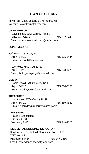# **TOWN OF SHERRY**

Town Hall: 9285 Second St, Milladore, WI Website: www.townofsherry.com

#### **CHAIRPERSON:**

Dave Homb, 8755 County Road S Milladore, 54454 715-207-2443 Email: sherrytownchairman@gmail.com

#### **SUPERVISORS:**

| Jeff Bean, 4382 Dairy Rd   |              |
|----------------------------|--------------|
| Arpin, 54410               | 715-305-5444 |
| Email: jrbean61@icloud.com |              |

 Les Holtz, 7809 County Rd F Arpin, 54410 715-323-4275 Email: holtzgrassyridge@hotmail.com

#### **CLERK:**

Rosie Ewoldt, 7992 County Rd F Arpin, 54410 715-630-5150 Email: clerk@townofsherry.wi.gov

#### **TREASURER:**

 Linda Haas, 7706 County Rd F Arpin, 55410 715-569-4562 Email: sherrytowntreasurer@gmail.com

#### **ASSESSOR:**

 Pauls & Associates PO Box 2190 Wausau, 54402 715-848-9300

#### **RESIDENTIAL BUILDING INSPECTOR:**

 Dan Hansen, Central WI Bldg Inspections, LLC 7777 Hetze Rd Milladore, 54454 715-347-7866 Email: owendanhansen@gmail.com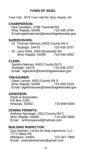# **TOWN OF SIGEL**

Town Hall: 3678 Town Hall Rd, Wisc Rapids, WI

# **CHAIRPERSON:**

Dick Goodwin, 2788 Townhall Rd<br>Wisc Rapids, 54495 715-435-3784 Wisc Rapids, 54495 Email:sigelchairman@townofsigelwoodwi.gov

# **SUPERVISORS:**

- #1 Thomas Nieman, 6403 County Rd S Rudolph, 54475 715-435-3757
- #2 Larry Pelot, 3400 Brostowitz Rd Wisc Rapids, 54495 715-435-3493

# **CLERK:**

Sandra Nieman, 6403 County Rd S **Rudolph, 54475** Email: sigelclerk@townofsigelwoodwi.gov

# **TREASURER:**

Dawn Larson, 6053 County Rd S<br>Wisc Rapids, 54495 715-459-1519 Wisc Rapids, 54495 Email: sigeltreasurer@townofsigelwoodwi.gov

# **ASSESSOR:**

 Pauls & Associates PO Box 2190 Wausau, 54402 715-848-9300

# **ZONING PERMITS:**

Anthony Spranger, 3314 County Rd C Wisc Rapids, 54495 Email : anthonysanvil@hotmail.com

# **BUILDING INSPECTOR:**

Dan Hansen, Central WI Bldg Inspections, LLC 7777 Hetze Rd<br>Milladore, 54454 715-347-7866 Email: owendanhansen@gmail.com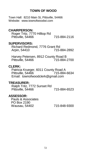# **TOWN OF WOOD**

Town Hall: 8210 Main St, Pittsville, 54466 Website: www.townofwoodwi.com

# **CHAIRPERSON:**

 Roger Tritz, 7770 Hilltop Rd Pittsville, 54466 715-884-2116

### **SUPERVISORS:**

Richard Redmond, 7776 Grant Rd<br>15-475-715 715-884-2892

Harvey Petersen, 8912 County Road B Pittsville, 54466

# **CLERK:**

Patricia Krueger, 6011 County Road A<br>Pittsville, 54466 715-884-6634 Pittsville, 54466 Email: townofwoodclerk@gmail.com

# **TREASURER:**

Ralph Tritz, 7772 Sunset Rd Pittsville, 54466 715-884-6523

### **ASSESSOR:**

Pauls & Associates PO Box 2190 Wausau, 54402 715-848-9300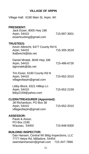# **VILLAGE OF ARPIN**

| Village Hall: 6190 Main St, Arpin, WI                                                                         |              |
|---------------------------------------------------------------------------------------------------------------|--------------|
| <b>PRESIDENT:</b><br>Jack Esser, 8005 Hwy 186<br>Arpin, 54410<br>essertrucking@gmail.com                      | 715-897-3001 |
| <b>TRUSTEES:</b><br>Kevin Albrecht, 6477 County Rd N<br>Arpin, 54410<br>tkalbrecht@tds.net                    | 715-305-3529 |
| Daniel Mrotek, 8045 Hwy 186<br>Arpin, 54410<br>dgmrotek@tds.net                                               | 715-486-6726 |
| Tim Esser, 6190 County Rd N<br>Arpin, 54410<br>villageofarpin@gmail.com                                       | 715-652-2010 |
| Libby Block, 6321 Hilltop Ln<br>Arpin, 54410<br>libby2159@yahoo.com                                           | 715-652-2159 |
| <b>CLERK/TREASURER (Appointed):</b><br>Jill Richardson, PO Box 38<br>Arpin, 54410<br>villageofarpin@gmail.com | 715-652-2010 |
| <b>ASSESSOR:</b><br>Pauls & Assoc.<br>PO Box 2190<br>Wausau, 54402                                            | 715-848-9300 |
| <b>BUILDING INSPECTOR:</b><br>Dan Hansen, Central WI Bldg Inspections, LLC<br>7777 Hetze Rd, Milladore, 54454 |              |

owendanhansen@gmail.com 715-347-7866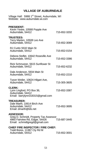# **VILLAGE OF AUBURNDALE**

| Village Hall: 5988 1st Street, Auburndale, WI<br>Website: www.auburndale.wi.com                                               |              |
|-------------------------------------------------------------------------------------------------------------------------------|--------------|
| <b>PRESIDENT:</b><br>Kevin Yeske, 10568 Popple Ave<br>Auburndale, 54412                                                       | 715-652-3202 |
| <b>TRUSTEES:</b><br>Terry Marten, 10508 Leo Ave<br>Auburndale, 54412                                                          | 715-652-3069 |
| RJ Curtin 5532 Main St<br>Auburndale, 54412                                                                                   | 715-652-0154 |
| Debora Stoflet, 10642 Roseville Ave<br>Auburndale, 54412                                                                      | 715-652-3386 |
| Rick Schmutzer, 5615 Sunflower St<br>Auburndale, 54412                                                                        | 715-652-6232 |
| Dale Anderson, 5934 Main St<br>Auburndale, 54412                                                                              | 715-652-2210 |
| Tyson Weiler, 10624 Hilgart Ave,<br>Auburndale, 54412                                                                         | 715-305-3605 |
| <b>CLERK:</b><br>Lynn Lingford, PO Box 36,<br>Auburndale, 54412<br>Email: barrylynn318315@gmail.com                           | 715-652-3387 |
| <b>TREASURER:</b><br>Dale Marth, 10614 Birch Ave<br>Auburndale, 54412<br>Email: dmarth@tds.net                                | 715-652-3695 |
| <b>ASSESSOR:</b><br>Greg D. Schmidt, Property Tax Assessor<br>4960 Fairview Rd, Edgar, 54426<br>Email: schmidtgregd@gmail.com | 715-687-3445 |
| <b>CHIEF FIRE INSPECTOR / FIRE CHIEF:</b><br>$T_{\alpha}$ dd Daraa 11007 Chi Dd M                                             |              |

| Todd Bores, 11387 Cty Rd M |              |
|----------------------------|--------------|
| Auburndale, 54412          | 715-652-3001 |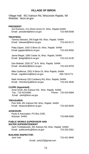# **VILLAGE OF BIRON**

Village Hall: 451 Kahoun Rd, Wisconsin Rapids, WI Website: biron.wi.gov

| <b>PRESIDENT:</b><br>Jon Evenson, 211 Shore Acres Dr, Wisc. Rapids 54494<br>Email: president@biron.wi.gov                                                     | 715-459-8348        |
|---------------------------------------------------------------------------------------------------------------------------------------------------------------|---------------------|
| <b>TRUSTEES:</b><br>Tammy Steward, 240 Eagle Rd, Wisc. Rapids 54494<br>Email: tsteward@biron.wi.gov                                                           | 715-423-0171        |
| Patty Gapen, 1042 S Biron Dr, Wisc. Rapids 54494<br>Email: pgapen@biron.wi.gov                                                                                | 715-423-6550        |
| Jamie Biegel, 1060 Center St, Wisc. Rapids, 54494<br>Email: jbiegel@biron.wi.gov                                                                              | 715-213-4130        |
| Dan Muleski, 2526 31 <sup>st</sup> St N Wisc. Rapids 54494<br>Email: dmuleski@biron.wi.gov                                                                    | 715-423-8703        |
| Mike Guillemot, 2551 N Biron Dr, Wisc Rapids, 54494<br>Email: mquillemot@biron.wi.gov                                                                         | 630-740-5771        |
| Mark Honkomp 220 Cranberry Rd, Wisc. Rapids, 54494<br>Email: mhonkomp@biron.wi.gov                                                                            | 715-424-3646        |
| <b>CLERK (Appointed):</b><br>Anne Arndt, 451 Kahoun Rd, Wisc. Rapids 54494<br>Fax: 715-423-6582<br>Email: clerk@biron.wi.gov                                  | Phone: 715-423-6584 |
| <b>TREASURER:</b><br>Pam Witt, 451 Kahoun Rd, Wisc. Rapids 54494<br>Email: treasurer@biron.wi.gov                                                             | 715-423-6545        |
| <b>ASSESSOR:</b><br>Pauls & Associates, PO Box 2190,<br>Wausau 54402                                                                                          | 715-848-9300        |
| <b>PUBLIC WORKS SUPERVISOR AND</b><br><b>WATER SUPERINTENDENT</b><br>Zach Trzebiatowski, 451 Kahoun Rd, Wisc. Rapids 54494<br>Email: publicworks@biron.wi.gov | 715-323-2001        |
| <b>BUILDING INSPECTOR:</b><br>Josh Volz                                                                                                                       | 715-421-9845        |

Email: jvolz22@gmail.com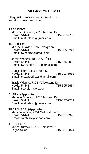# **VILLAGE OF HEWITT**

Village Hall: 11064 McLean Dr, Hewitt, WI Website: www.vi.hewitt.wi.us **PRESIDENT:** Marlene Stueland, 7610 McLean Dr<br>Hewitt, 54441 715-387-2739 Hewitt, 54441 Email: mstueland@gmail.com **TRUSTEES:** Michael Draxler, 7892 Evergreen Hewitt, 54441 715-305-0247 Email: 57hearse@gmail.com Jamie Wenzel, 10819 W 7<sup>th</sup> St Hewitt, 54441 715-965-9912 Email: jwenzel121470@gmail.com Cassie Horn, 11164 Main St Hewitt, 54441 715-213-6932 Email: crazyredfire13@gmail.com Travis Wienke, 7895 Yellowstone Dr<br>Hewitt, 54441 **Hewitt, 54441** Email: travis!draxlers.com **CLERK: (Appointed)** Marlene Stueland, 7610 McLean Dr<br>Hewitt, 54441 Hewitt, 54441 Email: mstueland@gmail.com **TREASURER**: **(Appointed)** Mary Jane Burr, 7951 Yellowstone Dr<br>Hewitt, 54441 715-897-5375 Email: mjb6564@yahoo.com **ASSESSOR:** James Kurtzweil, 5100 Fairview Rd Edgar, 54426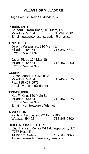# **VILLAGE OF MILLADORE**

Village Hall: 120 Main St, Milladore, WI

# **PRESIDENT:**

 Bernard J. Karaliunas, 910 Merry Ln Milladore, 54454 715-347-4581 Email: outlawsonsconstruction@gmail.com

### **TRUSTEES:**

 Jeremy Karaliunas, 916 Merry Ln Milladore, 54454 Fax: 715-457-6979

 Jason Pleet, 174 Main St Milladore, 54454 715-457-2800 Fax: 715-457-6979

# **CLERK:**

 Susan Mancl, 120 Main St Milladore, 54454 715-457-6375 Fax: 715-457-6979 Email: vomclerk@tds.net

# **TREASURER:**

 Kay F. King, 120 Main St Milladore, 54454 715-457-6375 Fax: 715-457-6979 Email : vomtreasurer@tds.net

### **ASSESSOR:**

 Pauls & Associates, PO Box 2190 Wausau, 54402

# **BUILDING INSPECTOR:**

Dan Hansen, Central WI Bldg Inspections, LLC 7777 Hetze Rd Milladore, 54454 715-347-7866 Email: owendanhansen@gmail.com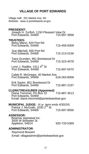# **VILLAGE OF PORT EDWARDS**

Village Hall: 201 Market Ave, WI Website: www.vi.portedwards.wi.gov **PRESIDENT:** Joseph H. Zurfluh, 1150 Pleasant View Dr Port Edwards, 54469 **TRUSTEES:** Betsy Mancl, 620 Port Rd Port Edwards, 54469 715-459-9309 Sue Mitchell, 830 Port Rd Port Edwards, 54469 715-213-0156 Tiara Grunden, 961 Brentwood Dr Port Edwards, 54469 715-323-4078 Lonn J. Radtke,  $1411 4<sup>th</sup>$  St Port Edwards, 54469 715-697-0470 Caleb R. McGregor, 40 Market Ave<br>Port Edwards, 54469, 648-263-8058 Port Edwards, 54469 Erik Saylor, 801 Brentwood Dr Port Edwards, 54469 715-887-2197 **CLERK/TREASURER (Appointed)** Diane Tremmel, PO Box 10 715-887-3513 Port Edwards, 54469 Email: diane.tremmel@portedwardswi.gov **MUNICIPAL JUDGE:** (4 yr. term ends 4/30/24) Patrick J. McGrath, 1030 2<sup>nd</sup> St Port Edwards, 54469 715-697-9930 **ASSESSOR:** Bowmar Appraisal Inc. 3005 W Brewster St Appleton, 54914 920-733-5369 **ADMINISTRATOR**: Raymond Bossert Email: villageadmin@portedwardswi.gov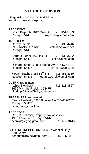# **VILLAGE OF RUDOLPH**

Village Hall: 1580 Main St, Rudolph, WI Website: www.visitrudolph.org

#### **PRESIDENT:**

Bruce Kniprath, 1649 Main St 715-451-5093 Rudolph, 54475 kniprathb@yahoo.com

#### **TRUSTEES:**

Christy Steinle, 715-435-4416 6907 Rocky Run Rd csteinle@wctc.net Rudolph, 54475

Barbara Ziebell, PO Box 54 715-435-3792<br>Rudolph, 54475 7eke@tznet.com Rudolph, 54475

Richard Larsen, 6989 Hillcrest Ave715-572-5948 rlarsen@wctc.net

Megan Stashek, 1584 1 $\mathrm{st}$  St N 715-451-3350 Rudolph, 54475 megan.stashek@gmail.com

#### **CLERK: (Appointed)**

Ashley Kelnhofer 715-213-8867 1636 Main St, Rudolph, 54475 RudolphVillageClerk@outlook.com

#### **TREASURER: (Appointed)**

Sandy Pawleski, 6986 Blonien Ave715-459-7373  $Rudo$ lph, 54475 tymegpaw@gmail.com

#### **ASSESSOR:**

Greg D. Schmidt, Property Tax Assessor 4960 Fairview Rd, Edgar, 54426 schmidtgregd@gmail.com..............715-687-3445

#### **BUILDING INSPECTOR:** New Residential Only

Ben Grimm bengrimm1977@gmail.com...........715-305-8814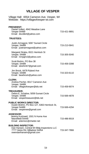# **VILLAGE OF VESPER**

#### Village Hall: 6554 Cameron Ave, Vesper, WI Website: https://villageofvesper-wi.com

| <b>PRESIDENT:</b><br>Daniel Vollert, 4942 Meadow Lane                                                                                  |              |
|----------------------------------------------------------------------------------------------------------------------------------------|--------------|
| Vesper 54489<br>Email: dsvollert@yahoo.com                                                                                             | 715-421-9891 |
| <b>TRUSTEES:</b>                                                                                                                       |              |
| Justin Armagost, 5067 Sunset Circle<br>Vesper, 54489<br>Email: justinarmagost@yahoo.com                                                | 715-213-5841 |
| Margaret Straka, 6521 Hemlock St<br>Vesper, 54489<br>Email: mmjajm2@yahoo.com                                                          | 715-305-5040 |
| Scott Brehm, PO Box 38<br>Vesper, 54489<br>Email: sbrehm67@gmail.com                                                                   | 715-459-3398 |
| Jim Brock, 6478 Ryland Ave<br>Vesper, 54489<br>Email: bearbrock@yahoo.com                                                              | 715-323-6110 |
| <b>CLERK:</b><br>Andrea Pecher, 6517 Cameron Ave                                                                                       |              |
| Vesper, 54489<br>Email: villageofvesper@tds.net                                                                                        | 715-459-9074 |
| <b>TREASURER:</b><br>Debra E. Schalow, 5059 Sunset Circle<br>Vesper, 54489<br>Email: vespertreasurer@tds.net                           | 715-569-4878 |
| <b>PUBLIC WORKS DIRECTOR:</b><br>Dustin Brehm, PO Box 127, 6363 Hemlock St,<br>Vesper 54489<br>Email: vesperww@gmail.com               | 715-569-4294 |
| <b>ASSESSOR:</b><br>Jeremy Kurtzweil, 1501 N Hume Ave<br>Marshfield 54449<br>Email: artemis1@charter.net                               | 715-486-9019 |
| <b>BUILDING INSPECTOR:</b><br>Dan Hansen, Central WI Bldg Inspections LLC<br>7777 Hetze Rd, Milladore 54454<br>owendanhansen@gmail.com | 715-347-7866 |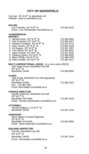# **CITY OF MARSHFIELD**

| City Hall: 207 W 6 <sup>th</sup> St, Marshfield, WI<br>Website: www.ci.marshfield.wi.us                                                                                                                                                                                                                                                                                                                                                                  |                                                                                                                                                              |
|----------------------------------------------------------------------------------------------------------------------------------------------------------------------------------------------------------------------------------------------------------------------------------------------------------------------------------------------------------------------------------------------------------------------------------------------------------|--------------------------------------------------------------------------------------------------------------------------------------------------------------|
| <b>MAYOR:</b><br>Lois TeStrake, 207 W 6 <sup>th</sup> St<br>Email: Lois.TeStrake@ci.marshfield.wi.us                                                                                                                                                                                                                                                                                                                                                     | 715-384-2919                                                                                                                                                 |
| <b>ALDERPERSON:</b><br><b>DISTRICT</b>                                                                                                                                                                                                                                                                                                                                                                                                                   |                                                                                                                                                              |
| 1. Michael Feirer, 207 W $6^{\text{th}}_{\text{th}}$ St<br>2. Nick Poeschel, 207 W 6 <sup>th</sup> St<br>3. Natasha Tompkins, 207 W 6 <sup>th</sup> St<br>4 Brian Varsho, 207 W 6 <sup>th</sup> St<br>5. Ed Wagner, 207 W 6 <sup>th</sup> St<br>6. Tom Witzel, 207 W 6 <sup>th</sup> St<br>7. Adam Fischer, 207 W 6 <sup>th</sup> St<br>8. Rebecca Spiros, 207 W 6th St<br>9. Mike O'Reilly, 207 W 6th St<br>10. Peter Hendler, 207 W 6 <sup>th</sup> St | 715-384-4581<br>715-305-4227<br>715-323-2710<br>715-897-5184<br>715-387-1857<br>715-384-6642<br>715-207-5325<br>715-389-2640<br>715-498-3785<br>715-384-7671 |
| MULTI-JURISDICTIONAL JUDGE: (4 yr. term ends 4/30/23)                                                                                                                                                                                                                                                                                                                                                                                                    |                                                                                                                                                              |
| John Adam Kruse, Marshfield City Hall<br>207 W 6 <sup>th</sup> St<br>Marshfield, 54449                                                                                                                                                                                                                                                                                                                                                                   | 715-384-6903                                                                                                                                                 |
| <b>CLERK:</b><br>Deb M Hall, Marshfield City Hall (Appointed)<br>207 W 6 <sup>th</sup> St<br>Marshfield, 54449<br>Fax: 715-384-7831<br>Email: Deb.Hall@ci.marshfield.wi.us                                                                                                                                                                                                                                                                               | 715-486-2023                                                                                                                                                 |
| <b>FINANCE DIRECTOR:</b><br>Jennifer Selenske, Marshfield City Hall<br>207 W 6 <sup>th</sup> St<br>Marshfield, WI 54449<br>Email: Jennifer.selenske@ci.marshfield.wi.us                                                                                                                                                                                                                                                                                  | 715-387-3033                                                                                                                                                 |
| <b>ATTORNEY:</b><br>Harold Wolfgram, 114 W 5 <sup>th</sup> St<br>Marshfield, 54449                                                                                                                                                                                                                                                                                                                                                                       | 715-387-1155                                                                                                                                                 |
| <b>ASSESSOR:</b><br>Steve Shepro, Forward Appraisal<br>$207 W 6th$ St<br>Marshfield, WI 54449<br>Email: Steve.shepro@ci.marshfield.wi.us                                                                                                                                                                                                                                                                                                                 | 715-384-3856                                                                                                                                                 |
| <b>BUILDING INSPECTOR:</b><br>Pat Kilty, Marshfield City Hall<br>207 W 6 <sup>th</sup> St<br>Marshfield, 54449<br>Email: Pat.Kilty@ci.marshfield.wi.us                                                                                                                                                                                                                                                                                                   | 715-387-1344                                                                                                                                                 |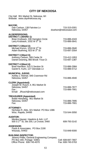# **CITY OF NEKOOSA**

| City Hall: 951 Market St, Nekoosa, WI<br>Website: www.cityofnekoosa.org                                                              |                                         |
|--------------------------------------------------------------------------------------------------------------------------------------|-----------------------------------------|
| <b>MAYOR:</b><br>Dan Carlson, 138 Fairview Ln<br>Nekoosa, 54457                                                                      | 715-315-0301<br>dcarlson@nekoosawi.com  |
| <b>ALDERPERSONS:</b><br>DISTRICT 1 (WARD 1):<br>Brian Krubsack, 336 Hampton Circle<br>Larry Krubsack, 1032 W 5th St                  | 715-886-4343<br>715-886-5641            |
| DISTRICT 2 (Ward 2):<br>Michael Kumm, 1019 W 3rd St<br>Adam Buehring, 923 W 3rd St                                                   | 715-886-3940<br>715-697-2054            |
| DISTRICT 3 (Ward 3):<br>Anthony Carlson, 306 Cedar St<br>Daniel Downing, 860 Brook Trout Ct                                          | 715-412-1953<br>715-697-1387            |
| DISTRICT 4 (Ward 4):<br>Brad Hamilton, 515 S Section St<br>Garett N. Kuhn, 127 Glendale Ln                                           | 715-886-2984<br>715-886-5712            |
| <b>MUNICIPAL JUDGE:</b><br>Ashley J. Reimer, 845 Cranmoor Rd<br>Nekoosa, 54457                                                       | 715-886-4940                            |
| <b>CLERK (Appointed):</b><br>Joseph M. Rusch, II, 951 Market St<br>Nekoosa, 54457<br>Fax :<br>Email: JRusch@nekoosawi.com            | 715-886-7877<br>715-886-7901            |
| <b>TREASURER (Appointed)</b><br>Bobbi Hertzberg, 951 Market St<br>Nekoosa, 54457<br>Fax:                                             | 715-886-7895<br>715-886-7901            |
| <b>ATTORNEY:</b><br>Nicholas R. Abts, 321 Market PO Box 1386<br>Wisc. Rapids, 54495                                                  | 715-544-3050                            |
| <b>AUDITOR:</b><br>Monika Hauser, Hawkins & Ash, LLP<br>500 S 2 <sup>nd</sup> St, Ste 200, La Crosse, 5460                           | 608-793-3142                            |
| <b>ASSESSOR:</b><br>Pauls & Associates, PO Box 2190<br>Wausau, 54402                                                                 | 715-848-9300                            |
| <b>BUILDING INSPECTOR:</b><br>Jeremy Phillis, General Engineering Company<br>PO Box 340, Portage 53901<br>Office Phone: 608-745-4070 | Cell: 608-697-7807<br>Fax: 608-745-5763 |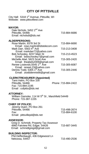# **CITY OF PITTSVILLE**

| City Hall: 5318 1 <sup>st</sup> Avenue, Pittsville, WI<br>Website: www.pittsvillewi.com                                                                                                                                                                                                                                                                                                                                                                                                  |                                                                                              |
|------------------------------------------------------------------------------------------------------------------------------------------------------------------------------------------------------------------------------------------------------------------------------------------------------------------------------------------------------------------------------------------------------------------------------------------------------------------------------------------|----------------------------------------------------------------------------------------------|
| <b>MAYOR:</b><br>Dale Nichols, 5452 2 <sup>nd</sup> Ave<br>Pittsville, 54466<br>Email: nicholsdt@tds.net                                                                                                                                                                                                                                                                                                                                                                                 | 715-884-6686                                                                                 |
| <b>ALDERPERSONS:</b><br>Rose Martin, 8378 3rd St<br>Email: rose.martin@tdstelecom.com<br>Mark Darr, 5563 4th Ave<br>Email: markdarr72@yahoo.com<br>Bob Schooley, 8237 Main St<br>Email: bobschooley7@gmail.com<br>Michelle Abel, 5623 Scott Ave<br>Email: theabels2009@gmail.com<br>Renee Losievski, 5545 1st Ave<br>Email: reneeL23@yahoo.com<br>Dennis Todd, 5305 1 <sup>st</sup> Ave<br>Email: ztodddennis66@gmail.com<br><b>CLERK/TREASURER (Appointed)</b><br>Tami Hahn, PO Box 100 | 715-884-6690<br>715-213-3408<br>715-213-4523<br>715-305-2420<br>715-305-6087<br>715-305-2446 |
| Pittsville, 54466<br>Fax: 715-884-2195<br>Email: cofpitts@tds.net                                                                                                                                                                                                                                                                                                                                                                                                                        | Phone: 715-884-2422                                                                          |
| <b>ATTORNEY:</b><br>William Gamoke, 114 W 5 <sup>th</sup> St, Marshfield 54449<br>Phone: 715-387-1155                                                                                                                                                                                                                                                                                                                                                                                    |                                                                                              |
| <b>CHIEF OF POLICE:</b><br>Jeremy Duerr, PO Box 261<br>Pittsville, 54466<br>Fax:<br>Email: pittsvillepd@tds.net                                                                                                                                                                                                                                                                                                                                                                          | 715-498-2674<br>715-884-6100                                                                 |
| <b>ASSESSOR:</b><br>Greg D. Schmidt, Property Tax Assessor<br>4960 Fairview Rd, Edgar, 54426<br>Email: schmidtgregd@gmail.com                                                                                                                                                                                                                                                                                                                                                            | 715-687-3445                                                                                 |
| <b>BUILDING INSPECTOR:</b><br>Phil Deffenbaugh, 436 Edgewood Ln<br>Nekoosa, 54457                                                                                                                                                                                                                                                                                                                                                                                                        | 715-490-2536                                                                                 |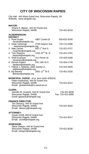# **CITY OF WISCONSIN RAPIDS**

| City Hall: 444 West Grand Ave, Wisconsin Rapids, WI |  |
|-----------------------------------------------------|--|
| Website: www.wirapids.org                           |  |

|                | <b>MAYOR:</b>                                                                                                                                  |                                   |
|----------------|------------------------------------------------------------------------------------------------------------------------------------------------|-----------------------------------|
|                | Shane E. Blaser, 444 W Grand Ave<br>Wisconsin Rapids, 54495                                                                                    | 715-421-8216                      |
|                | <b>ALDERPERSON:</b><br><b>DISTRICT</b>                                                                                                         |                                   |
| 1.             | <b>Ryan Austin</b><br>4387 Condo Dr<br>raustin@wirapids.org                                                                                    | 920-810-3240                      |
| $\overline{2}$ | Dean Veneman<br>2730 Gaynor Ave<br>dveneman@wirapids.org                                                                                       | 715-712-0306                      |
|                | 920 1 <sup>st</sup> Ave S<br>3 Matt Zacher                                                                                                     | 715-321-0727                      |
|                | Matt Zaurer<br>mzacher@wirapids.org<br>1220 22 <sup>nd</sup> St N<br>4 Tom Rayome                                                              | 715-421-5761                      |
| 5              | trayome@wirapids.org<br>411 Plover St<br>Sheri Evanson                                                                                         | 715-423-0160                      |
|                | sevanson@wirapids.org<br>241 14th St S<br>6 Dennis Polach                                                                                      | 715-424-1749                      |
|                | dpolach@wirapids.org<br>7 Patrick J. Delaney, 2941 Sandy Ln                                                                                    | 715-315-4925                      |
|                | pdelaney@wirapids.org<br>$2931.11^{\text{th}}$ St S<br>8 Jay Bemke<br>jbemke@wirapids.org                                                      | 715-451-0150                      |
|                | MUNICIPAL JUDGE: (4 yr. term ends 4/30/24)<br>Peter Kastenholz, 444 W Grand Ave<br>Wisconsin Rapids, 54495<br>Email: pkastenholz@co.wood.wi.us | 715-421-6212                      |
|                | <b>CLERK:</b><br>Jennifer M. Gossick, 444 W Grand Ave<br>Wisconsin Rapids, 54495<br>Email: jgossick@wirapids.org                               | 715-421-8200<br>Fax: 715-421-8280 |
|                | <b>FINANCE DIRECTOR:</b><br>Tim Desorcy, 444 W Grand Ave<br>Wisconsin Rapids, 54495<br>Email: tdesorcy@wirapids.org                            | 715-421-8242                      |
|                | <b>ATTORNEY:</b><br>Susan Schill, 444 W Grand Ave<br>Wisconsin Rapids, 54495<br>Email: sschill@wirapids.org                                    | 715-421-8217                      |
|                | <b>ASSESSOR:</b><br>Steve Shepro, 444 W Grand Ave<br>Wisconsin Rapids, 54495<br>Email: sshepro@wirapids.org                                    | 715-421-8230                      |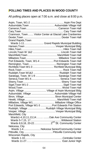# **POLLING TIMES AND PLACES IN WOOD COUNTY**

All polling places open at 7:00 a.m. and close at 8:00 p.m.

|                        | Cranmoor, Town Visitor Center at Glacial Lake Cranberries |
|------------------------|-----------------------------------------------------------|
|                        |                                                           |
| Grand Rapids, Town     |                                                           |
|                        | Wards 1-11 Grand Rapids Municipal Building                |
|                        |                                                           |
|                        |                                                           |
|                        |                                                           |
|                        |                                                           |
|                        |                                                           |
|                        | Port Edwards, Town, W1-4  Port Edwards Town Hall          |
|                        |                                                           |
|                        | Richfield, Town W1-3  Richfield Municipal Bldg            |
|                        |                                                           |
|                        |                                                           |
|                        | Saratoga, Town, W 1-9  Saratoga Town Hall                 |
|                        |                                                           |
|                        |                                                           |
|                        |                                                           |
|                        |                                                           |
|                        | Arpin, Village  Village of Arpin Municipal Bldg           |
|                        | Auburndale, Village  Auburndale Village Hall              |
|                        |                                                           |
|                        |                                                           |
|                        | Milladore, Village W1 Milladore Village Office            |
|                        | Port Edwards, Village W1-3 Port Edwards Fire Station      |
|                        | Rudolph, Village  Rudolph Village Municipal Bldg          |
|                        |                                                           |
| Marshfield, City       |                                                           |
|                        | Wards1-4,10,11,13,14  Oak Ave Community Center            |
|                        |                                                           |
|                        |                                                           |
| Nekoosa, City          |                                                           |
|                        | Wards 1-4Nekoosa Senior/Community Center                  |
|                        |                                                           |
| Wisconsin Rapids, City |                                                           |
|                        |                                                           |
|                        |                                                           |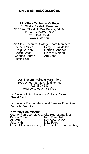# **UNIVERSITIES/COLLEGES**

#### **Mid-State Technical College**

Dr. Shelly Mondeik, President 500 32nd Street N., Wis Rapids, 54494 Phone: 715-422-5300 Fax: 715-422-5498 www.mstc.edu

Mid-State Technical College Board Members<br>Lynneia Miller Betty Bruski Mallek Lynneia Miller Betty Bruski Mallek<br>Craig Gerlach Gordon Schalow Craig Gerlach Gordon Schalow<br>Kristin Crass Richard Merdan Richard Merdan<br>Are Vang Charles Spargo Justin Feltz

#### **UW-Stevens Point at Marshfield**

2000 W. 5th St, Marshfield, 54449 715-389-6537 www.uwsp.edu/marshfield

UW-Stevens Point, University College, Dean: Gretel Stock

UW-Stevens Point at Marshfield Campus Executive: Michelle Boernke

#### **University Commission**

| County Representatives: City Representatives:     |
|---------------------------------------------------|
| Nick Poeschel                                     |
| Rebecca Spiros                                    |
| Mike Feirer                                       |
| Lance Pliml, non-voting Lois TeStrake, non-voting |
|                                                   |